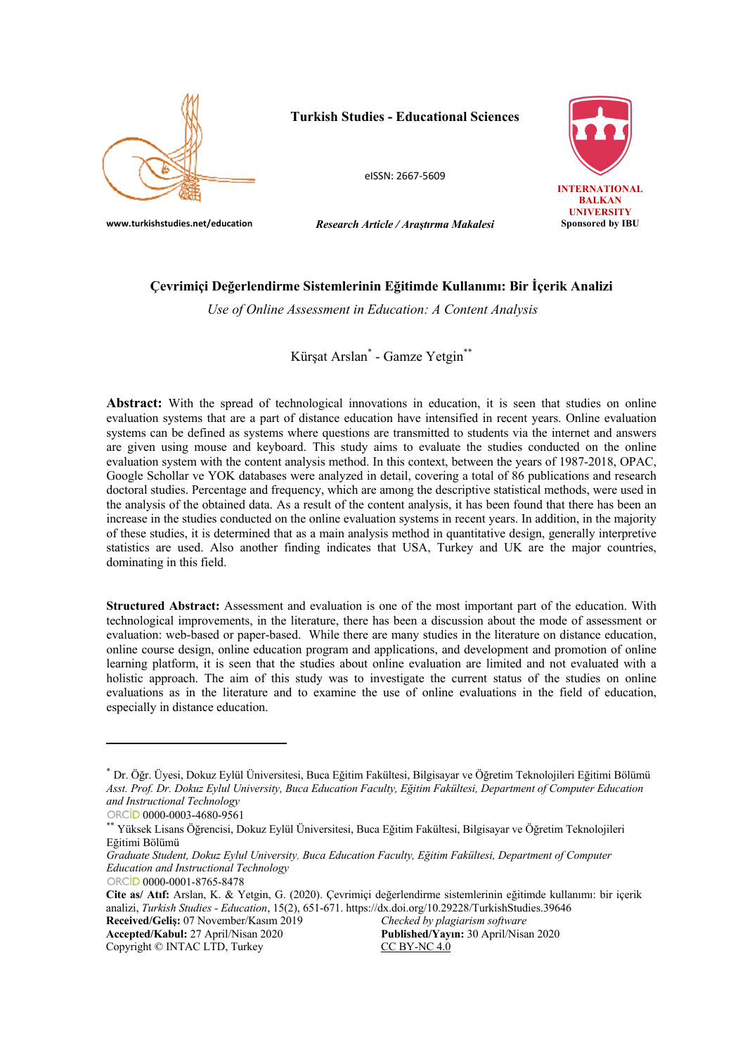

# **Turkish Studies - Educational Sciences**

eISSN: 2667-5609



**UNIVERSITY**<br>Sponsored by IBU

**www.turkishstudies.net/education** *Research Article / Araştırma Makalesi* 

# **Çevrimiçi Değerlendirme Sistemlerinin Eğitimde Kullanımı: Bir İçerik Analizi**

*Use of Online Assessment in Education: A Content Analysis*

Kürşat Arslan\* - Gamze Yetgin\*\*

Abstract: With the spread of technological innovations in education, it is seen that studies on online evaluation systems that are a part of distance education have intensified in recent years. Online evaluation systems can be defined as systems where questions are transmitted to students via the internet and answers are given using mouse and keyboard. This study aims to evaluate the studies conducted on the online evaluation system with the content analysis method. In this context, between the years of 1987-2018, OPAC, Google Schollar ve YOK databases were analyzed in detail, covering a total of 86 publications and research doctoral studies. Percentage and frequency, which are among the descriptive statistical methods, were used in the analysis of the obtained data. As a result of the content analysis, it has been found that there has been an increase in the studies conducted on the online evaluation systems in recent years. In addition, in the majority of these studies, it is determined that as a main analysis method in quantitative design, generally interpretive statistics are used. Also another finding indicates that USA, Turkey and UK are the major countries, dominating in this field.

**Structured Abstract:** Assessment and evaluation is one of the most important part of the education. With technological improvements, in the literature, there has been a discussion about the mode of assessment or evaluation: web-based or paper-based. While there are many studies in the literature on distance education, online course design, online education program and applications, and development and promotion of online learning platform, it is seen that the studies about online evaluation are limited and not evaluated with a holistic approach. The aim of this study was to investigate the current status of the studies on online evaluations as in the literature and to examine the use of online evaluations in the field of education, especially in distance education.

Copyright © INTAC LTD, Turkey CC BY-NC 4.0

**Accepted/Kabul:** 27 April/Nisan 2020 **Published/Yayın:** 30 April/Nisan 2020

<sup>\*</sup> Dr. Öğr. Üyesi, Dokuz Eylül Üniversitesi, Buca Eğitim Fakültesi, Bilgisayar ve Öğretim Teknolojileri Eğitimi Bölümü *Asst. Prof. Dr. Dokuz Eylul University, Buca Education Faculty, Eğitim Fakültesi, Department of Computer Education and Instructional Technology*

ORCiD 0000-0003-4680-9561

<sup>\*\*</sup> Yüksek Lisans Öğrencisi, Dokuz Eylül Üniversitesi, Buca Eğitim Fakültesi, Bilgisayar ve Öğretim Teknolojileri Eğitimi Bölümü

*Graduate Student, Dokuz Eylul University, Buca Education Faculty, Eğitim Fakültesi, Department of Computer Education and Instructional Technology*

ORCID 0000-0001-8765-8478

**Cite as/ Atıf:** Arslan, K. & Yetgin, G. (2020). Çevrimiçi değerlendirme sistemlerinin eğitimde kullanımı: bir içerik analizi, *Turkish Studies - Education*, 15(2), 651-671. https://dx.doi.org/10.29228/TurkishStudies.39646 **Received/Geliş:** 07 November/Kasım 2019 *Checked by plagiarism software*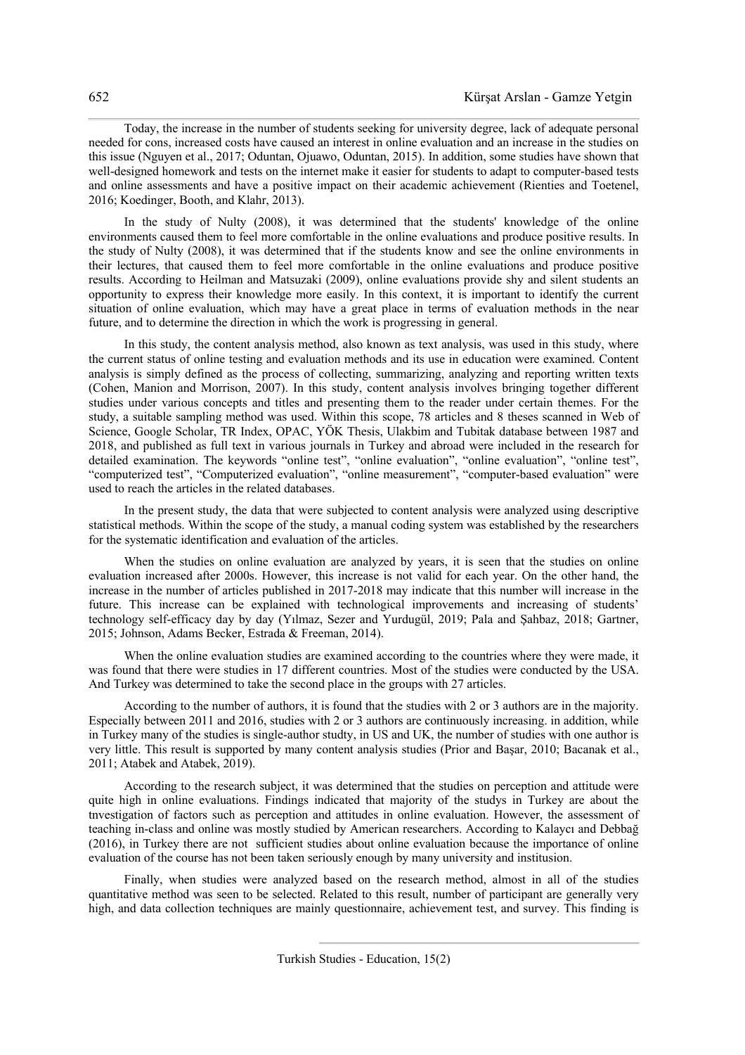Today, the increase in the number of students seeking for university degree, lack of adequate personal needed for cons, increased costs have caused an interest in online evaluation and an increase in the studies on this issue (Nguyen et al., 2017; Oduntan, Ojuawo, Oduntan, 2015). In addition, some studies have shown that well-designed homework and tests on the internet make it easier for students to adapt to computer-based tests and online assessments and have a positive impact on their academic achievement (Rienties and Toetenel, 2016; Koedinger, Booth, and Klahr, 2013).

In the study of Nulty (2008), it was determined that the students' knowledge of the online environments caused them to feel more comfortable in the online evaluations and produce positive results. In the study of Nulty (2008), it was determined that if the students know and see the online environments in their lectures, that caused them to feel more comfortable in the online evaluations and produce positive results. According to Heilman and Matsuzaki (2009), online evaluations provide shy and silent students an opportunity to express their knowledge more easily. In this context, it is important to identify the current situation of online evaluation, which may have a great place in terms of evaluation methods in the near future, and to determine the direction in which the work is progressing in general.

In this study, the content analysis method, also known as text analysis, was used in this study, where the current status of online testing and evaluation methods and its use in education were examined. Content analysis is simply defined as the process of collecting, summarizing, analyzing and reporting written texts (Cohen, Manion and Morrison, 2007). In this study, content analysis involves bringing together different studies under various concepts and titles and presenting them to the reader under certain themes. For the study, a suitable sampling method was used. Within this scope, 78 articles and 8 theses scanned in Web of Science, Google Scholar, TR Index, OPAC, YÖK Thesis, Ulakbim and Tubitak database between 1987 and 2018, and published as full text in various journals in Turkey and abroad were included in the research for detailed examination. The keywords "online test", "online evaluation", "online evaluation", "online test", "computerized test", "Computerized evaluation", "online measurement", "computer-based evaluation" were used to reach the articles in the related databases.

In the present study, the data that were subjected to content analysis were analyzed using descriptive statistical methods. Within the scope of the study, a manual coding system was established by the researchers for the systematic identification and evaluation of the articles.

When the studies on online evaluation are analyzed by years, it is seen that the studies on online evaluation increased after 2000s. However, this increase is not valid for each year. On the other hand, the increase in the number of articles published in 2017-2018 may indicate that this number will increase in the future. This increase can be explained with technological improvements and increasing of students' technology self-efficacy day by day (Yılmaz, Sezer and Yurdugül, 2019; Pala and Şahbaz, 2018; Gartner, 2015; Johnson, Adams Becker, Estrada & Freeman, 2014).

When the online evaluation studies are examined according to the countries where they were made, it was found that there were studies in 17 different countries. Most of the studies were conducted by the USA. And Turkey was determined to take the second place in the groups with 27 articles.

According to the number of authors, it is found that the studies with 2 or 3 authors are in the majority. Especially between 2011 and 2016, studies with 2 or 3 authors are continuously increasing. in addition, while in Turkey many of the studies is single-author studty, in US and UK, the number of studies with one author is very little. This result is supported by many content analysis studies (Prior and Başar, 2010; Bacanak et al., 2011; Atabek and Atabek, 2019).

According to the research subject, it was determined that the studies on perception and attitude were quite high in online evaluations. Findings indicated that majority of the studys in Turkey are about the tnvestigation of factors such as perception and attitudes in online evaluation. However, the assessment of teaching in-class and online was mostly studied by American researchers. According to Kalaycı and Debbağ (2016), in Turkey there are not sufficient studies about online evaluation because the importance of online evaluation of the course has not been taken seriously enough by many university and institusion.

Finally, when studies were analyzed based on the research method, almost in all of the studies quantitative method was seen to be selected. Related to this result, number of participant are generally very high, and data collection techniques are mainly questionnaire, achievement test, and survey. This finding is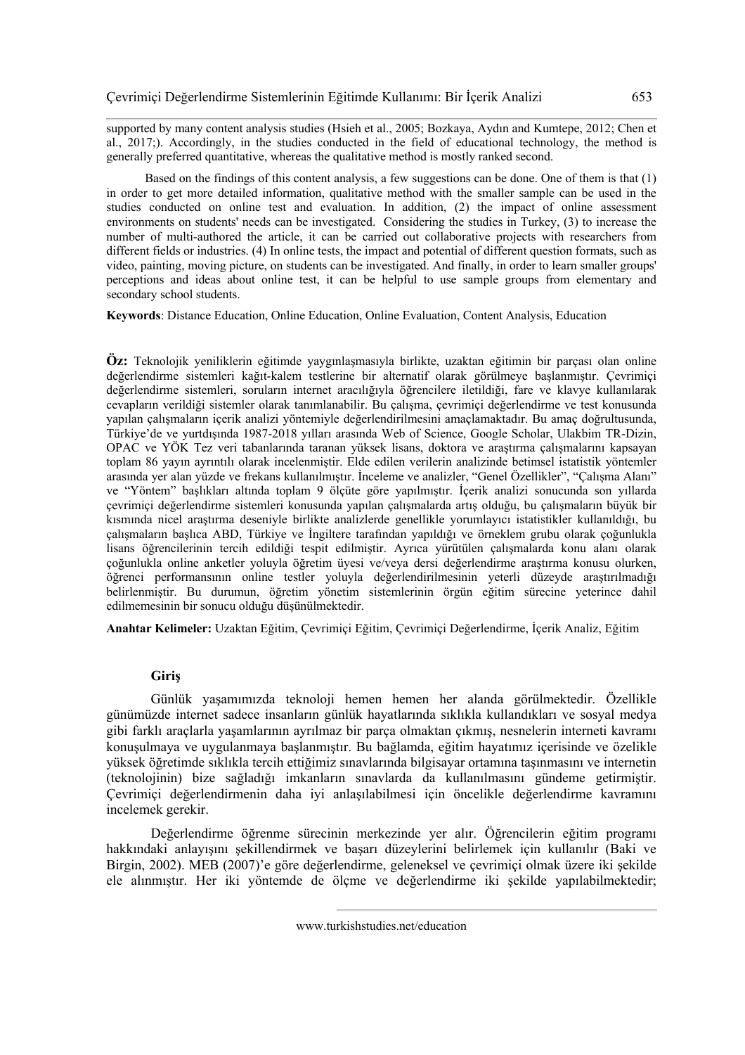supported by many content analysis studies (Hsieh et al., 2005; Bozkaya, Aydın and Kumtepe, 2012; Chen et al., 2017;). Accordingly, in the studies conducted in the field of educational technology, the method is generally preferred quantitative, whereas the qualitative method is mostly ranked second.

Based on the findings of this content analysis, a few suggestions can be done. One of them is that (1) in order to get more detailed information, qualitative method with the smaller sample can be used in the studies conducted on online test and evaluation. In addition, (2) the impact of online assessment environments on students' needs can be investigated. Considering the studies in Turkey, (3) to increase the number of multi-authored the article, it can be carried out collaborative projects with researchers from different fields or industries. (4) In online tests, the impact and potential of different question formats, such as video, painting, moving picture, on students can be investigated. And finally, in order to learn smaller groups' perceptions and ideas about online test, it can be helpful to use sample groups from elementary and secondary school students.

**Keywords**: Distance Education, Online Education, Online Evaluation, Content Analysis, Education

**Öz:** Teknolojik yeniliklerin eğitimde yaygınlaşmasıyla birlikte, uzaktan eğitimin bir parçası olan online değerlendirme sistemleri kağıt-kalem testlerine bir alternatif olarak görülmeye başlanmıştır. Çevrimiçi değerlendirme sistemleri, soruların internet aracılığıyla öğrencilere iletildiği, fare ve klavye kullanılarak cevapların verildiği sistemler olarak tanımlanabilir. Bu çalışma, çevrimiçi değerlendirme ve test konusunda yapılan çalışmaların içerik analizi yöntemiyle değerlendirilmesini amaçlamaktadır. Bu amaç doğrultusunda, Türkiye'de ve yurtdışında 1987-2018 yılları arasında Web of Science, Google Scholar, Ulakbim TR-Dizin, OPAC ve YÖK Tez veri tabanlarında taranan yüksek lisans, doktora ve araştırma çalışmalarını kapsayan toplam 86 yayın ayrıntılı olarak incelenmiştir. Elde edilen verilerin analizinde betimsel istatistik yöntemler arasında yer alan yüzde ve frekans kullanılmıştır. İnceleme ve analizler, "Genel Özellikler", "Çalışma Alanı" ve "Yöntem" başlıkları altında toplam 9 ölçüte göre yapılmıştır. İçerik analizi sonucunda son yıllarda çevrimiçi değerlendirme sistemleri konusunda yapılan çalışmalarda artış olduğu, bu çalışmaların büyük bir kısmında nicel araştırma deseniyle birlikte analizlerde genellikle yorumlayıcı istatistikler kullanıldığı, bu çalışmaların başlıca ABD, Türkiye ve İngiltere tarafından yapıldığı ve örneklem grubu olarak çoğunlukla lisans öğrencilerinin tercih edildiği tespit edilmiştir. Ayrıca yürütülen çalışmalarda konu alanı olarak çoğunlukla online anketler yoluyla öğretim üyesi ve/veya dersi değerlendirme araştırma konusu olurken, öğrenci performansının online testler yoluyla değerlendirilmesinin yeterli düzeyde araştırılmadığı belirlenmiştir. Bu durumun, öğretim yönetim sistemlerinin örgün eğitim sürecine yeterince dahil edilmemesinin bir sonucu olduğu düşünülmektedir.

**Anahtar Kelimeler:** Uzaktan Eğitim, Çevrimiçi Eğitim, Çevrimiçi Değerlendirme, İçerik Analiz, Eğitim

#### **Giriş**

Günlük yaşamımızda teknoloji hemen hemen her alanda görülmektedir. Özellikle günümüzde internet sadece insanların günlük hayatlarında sıklıkla kullandıkları ve sosyal medya gibi farklı araçlarla yaşamlarının ayrılmaz bir parça olmaktan çıkmış, nesnelerin interneti kavramı konuşulmaya ve uygulanmaya başlanmıştır. Bu bağlamda, eğitim hayatımız içerisinde ve özelikle yüksek öğretimde sıklıkla tercih ettiğimiz sınavlarında bilgisayar ortamına taşınmasını ve internetin (teknolojinin) bize sağladığı imkanların sınavlarda da kullanılmasını gündeme getirmiştir. Çevrimiçi değerlendirmenin daha iyi anlaşılabilmesi için öncelikle değerlendirme kavramını incelemek gerekir.

Değerlendirme öğrenme sürecinin merkezinde yer alır. Öğrencilerin eğitim programı hakkındaki anlayışını şekillendirmek ve başarı düzeylerini belirlemek için kullanılır (Baki ve Birgin, 2002). MEB (2007)'e göre değerlendirme, geleneksel ve çevrimiçi olmak üzere iki şekilde ele alınmıştır. Her iki yöntemde de ölçme ve değerlendirme iki şekilde yapılabilmektedir;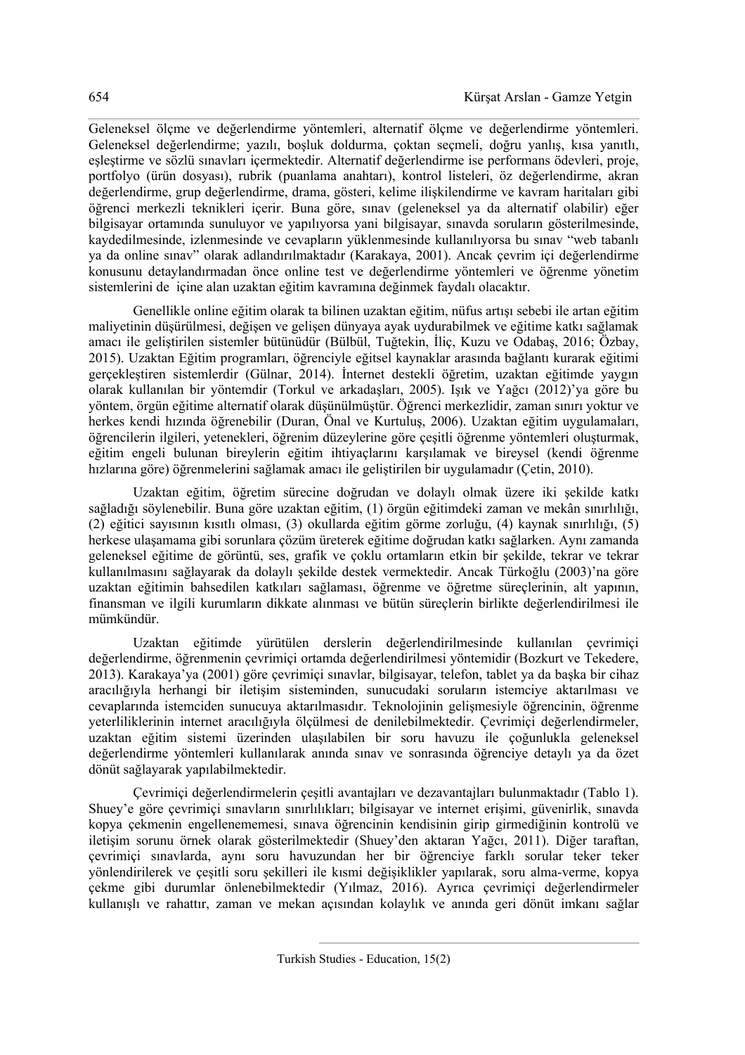Geleneksel ölçme ve değerlendirme yöntemleri, alternatif ölçme ve değerlendirme yöntemleri. Geleneksel değerlendirme; yazılı, boşluk doldurma, çoktan seçmeli, doğru yanlış, kısa yanıtlı, eşleştirme ve sözlü sınavları içermektedir. Alternatif değerlendirme ise performans ödevleri, proje, portfolyo (ürün dosyası), rubrik (puanlama anahtarı), kontrol listeleri, öz değerlendirme, akran değerlendirme, grup değerlendirme, drama, gösteri, kelime ilişkilendirme ve kavram haritaları gibi öğrenci merkezli teknikleri içerir. Buna göre, sınav (geleneksel ya da alternatif olabilir) eğer bilgisayar ortamında sunuluyor ve yapılıyorsa yani bilgisayar, sınavda soruların gösterilmesinde, kaydedilmesinde, izlenmesinde ve cevapların yüklenmesinde kullanılıyorsa bu sınav "web tabanlı ya da online sınav" olarak adlandırılmaktadır (Karakaya, 2001). Ancak çevrim içi değerlendirme konusunu detaylandırmadan önce online test ve değerlendirme yöntemleri ve öğrenme yönetim sistemlerini de içine alan uzaktan eğitim kavramına değinmek faydalı olacaktır.

Genellikle online eğitim olarak ta bilinen uzaktan eğitim, nüfus artışı sebebi ile artan eğitim maliyetinin düşürülmesi, değişen ve gelişen dünyaya ayak uydurabilmek ve eğitime katkı sağlamak amacı ile geliştirilen sistemler bütünüdür (Bülbül, Tuğtekin, İliç, Kuzu ve Odabaş, 2016; Özbay, 2015). Uzaktan Eğitim programları, öğrenciyle eğitsel kaynaklar arasında bağlantı kurarak eğitimi gerçekleştiren sistemlerdir (Gülnar, 2014). İnternet destekli öğretim, uzaktan eğitimde yaygın olarak kullanılan bir yöntemdir (Torkul ve arkadaşları, 2005). Işık ve Yağcı (2012)'ya göre bu yöntem, örgün eğitime alternatif olarak düşünülmüştür. Öğrenci merkezlidir, zaman sınırı yoktur ve herkes kendi hızında öğrenebilir (Duran, Önal ve Kurtuluş, 2006). Uzaktan eğitim uygulamaları, öğrencilerin ilgileri, yetenekleri, öğrenim düzeylerine göre çeşitli öğrenme yöntemleri oluşturmak, eğitim engeli bulunan bireylerin eğitim ihtiyaçlarını karşılamak ve bireysel (kendi öğrenme hızlarına göre) öğrenmelerini sağlamak amacı ile geliştirilen bir uygulamadır (Çetin, 2010).

Uzaktan eğitim, öğretim sürecine doğrudan ve dolaylı olmak üzere iki şekilde katkı sağladığı söylenebilir. Buna göre uzaktan eğitim, (1) örgün eğitimdeki zaman ve mekân sınırlılığı, (2) eğitici sayısının kısıtlı olması, (3) okullarda eğitim görme zorluğu, (4) kaynak sınırlılığı, (5) herkese ulaşamama gibi sorunlara çözüm üreterek eğitime doğrudan katkı sağlarken. Aynı zamanda geleneksel eğitime de görüntü, ses, grafik ve çoklu ortamların etkin bir şekilde, tekrar ve tekrar kullanılmasını sağlayarak da dolaylı şekilde destek vermektedir. Ancak Türkoğlu (2003)'na göre uzaktan eğitimin bahsedilen katkıları sağlaması, öğrenme ve öğretme süreçlerinin, alt yapının, finansman ve ilgili kurumların dikkate alınması ve bütün süreçlerin birlikte değerlendirilmesi ile mümkündür.

Uzaktan eğitimde yürütülen derslerin değerlendirilmesinde kullanılan çevrimiçi değerlendirme, öğrenmenin çevrimiçi ortamda değerlendirilmesi yöntemidir (Bozkurt ve Tekedere, 2013). Karakaya'ya (2001) göre çevrimiçi sınavlar, bilgisayar, telefon, tablet ya da başka bir cihaz aracılığıyla herhangi bir iletişim sisteminden, sunucudaki soruların istemciye aktarılması ve cevaplarında istemciden sunucuya aktarılmasıdır. Teknolojinin gelişmesiyle öğrencinin, öğrenme yeterliliklerinin internet aracılığıyla ölçülmesi de denilebilmektedir. Çevrimiçi değerlendirmeler, uzaktan eğitim sistemi üzerinden ulaşılabilen bir soru havuzu ile çoğunlukla geleneksel değerlendirme yöntemleri kullanılarak anında sınav ve sonrasında öğrenciye detaylı ya da özet dönüt sağlayarak yapılabilmektedir.

Çevrimiçi değerlendirmelerin çeşitli avantajları ve dezavantajları bulunmaktadır (Tablo 1). Shuey'e göre çevrimiçi sınavların sınırlılıkları; bilgisayar ve internet erişimi, güvenirlik, sınavda kopya çekmenin engellenememesi, sınava öğrencinin kendisinin girip girmediğinin kontrolü ve iletişim sorunu örnek olarak gösterilmektedir (Shuey'den aktaran Yağcı, 2011). Diğer taraftan, çevrimiçi sınavlarda, aynı soru havuzundan her bir öğrenciye farklı sorular teker teker yönlendirilerek ve çeşitli soru şekilleri ile kısmi değişiklikler yapılarak, soru alma-verme, kopya çekme gibi durumlar önlenebilmektedir (Yılmaz, 2016). Ayrıca çevrimiçi değerlendirmeler kullanışlı ve rahattır, zaman ve mekan açısından kolaylık ve anında geri dönüt imkanı sağlar

Turkish Studies - Education, 15(2)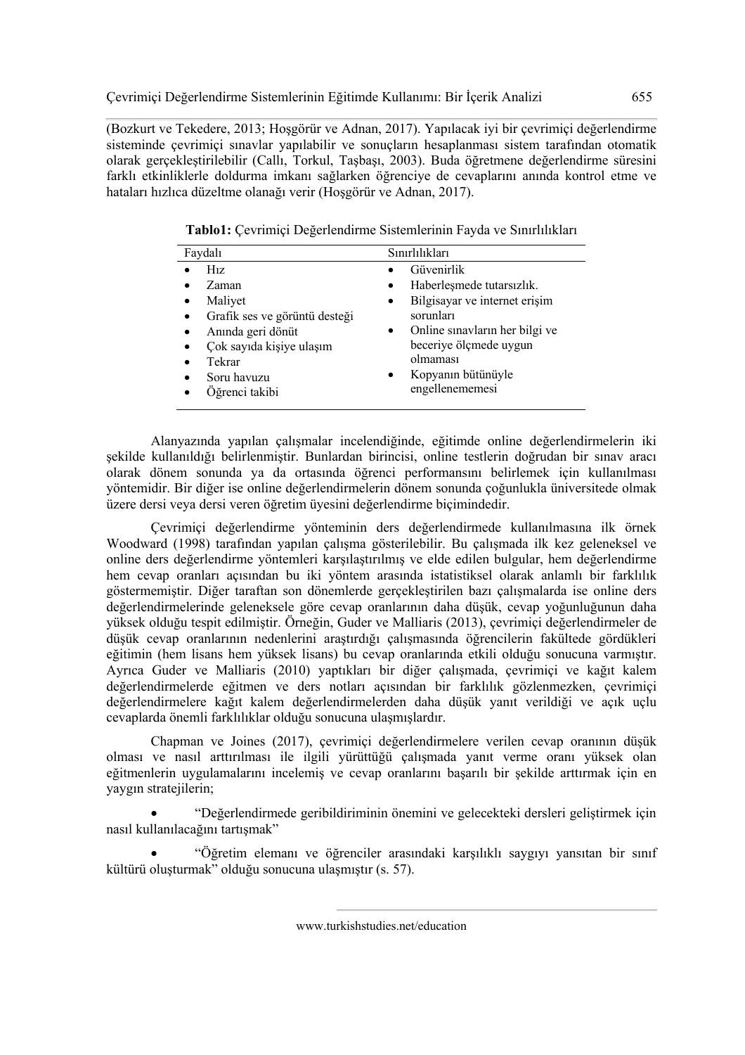(Bozkurt ve Tekedere, 2013; Hoşgörür ve Adnan, 2017). Yapılacak iyi bir çevrimiçi değerlendirme sisteminde çevrimiçi sınavlar yapılabilir ve sonuçların hesaplanması sistem tarafından otomatik olarak gerçekleştirilebilir (Callı, Torkul, Taşbaşı, 2003). Buda öğretmene değerlendirme süresini farklı etkinliklerle doldurma imkanı sağlarken öğrenciye de cevaplarını anında kontrol etme ve hataları hızlıca düzeltme olanağı verir (Hoşgörür ve Adnan, 2017).

**Tablo1:** Çevrimiçi Değerlendirme Sistemlerinin Fayda ve Sınırlılıkları

| Faydalı                       | Sınırlılıkları                              |
|-------------------------------|---------------------------------------------|
| $H_{1Z}$                      | Güvenirlik                                  |
| Zaman                         | Haberleşmede tutarsızlık.                   |
| Maliyet                       | Bilgisayar ve internet erişim<br>$\bullet$  |
| Grafik ses ve görüntü desteği | sorunları                                   |
| Anında geri dönüt             | Online sinavlarin her bilgi ve<br>$\bullet$ |
| Çok sayıda kişiye ulaşım      | beceriye ölçmede uygun                      |
| Tekrar                        | olmaması                                    |
| Soru havuzu                   | Kopyanın bütünüyle<br>$\bullet$             |
| Öğrenci takibi                | engellenememesi                             |

Alanyazında yapılan çalışmalar incelendiğinde, eğitimde online değerlendirmelerin iki şekilde kullanıldığı belirlenmiştir. Bunlardan birincisi, online testlerin doğrudan bir sınav aracı olarak dönem sonunda ya da ortasında öğrenci performansını belirlemek için kullanılması yöntemidir. Bir diğer ise online değerlendirmelerin dönem sonunda çoğunlukla üniversitede olmak üzere dersi veya dersi veren öğretim üyesini değerlendirme biçimindedir.

Çevrimiçi değerlendirme yönteminin ders değerlendirmede kullanılmasına ilk örnek Woodward (1998) tarafından yapılan çalışma gösterilebilir. Bu çalışmada ilk kez geleneksel ve online ders değerlendirme yöntemleri karşılaştırılmış ve elde edilen bulgular, hem değerlendirme hem cevap oranları açısından bu iki yöntem arasında istatistiksel olarak anlamlı bir farklılık göstermemiştir. Diğer taraftan son dönemlerde gerçekleştirilen bazı çalışmalarda ise online ders değerlendirmelerinde geleneksele göre cevap oranlarının daha düşük, cevap yoğunluğunun daha yüksek olduğu tespit edilmiştir. Örneğin, Guder ve Malliaris (2013), çevrimiçi değerlendirmeler de düşük cevap oranlarının nedenlerini araştırdığı çalışmasında öğrencilerin fakültede gördükleri eğitimin (hem lisans hem yüksek lisans) bu cevap oranlarında etkili olduğu sonucuna varmıştır. Ayrıca Guder ve Malliaris (2010) yaptıkları bir diğer çalışmada, çevrimiçi ve kağıt kalem değerlendirmelerde eğitmen ve ders notları açısından bir farklılık gözlenmezken, çevrimiçi değerlendirmelere kağıt kalem değerlendirmelerden daha düşük yanıt verildiği ve açık uçlu cevaplarda önemli farklılıklar olduğu sonucuna ulaşmışlardır.

Chapman ve Joines (2017), çevrimiçi değerlendirmelere verilen cevap oranının düşük olması ve nasıl arttırılması ile ilgili yürüttüğü çalışmada yanıt verme oranı yüksek olan eğitmenlerin uygulamalarını incelemiş ve cevap oranlarını başarılı bir şekilde arttırmak için en yaygın stratejilerin;

• "Değerlendirmede geribildiriminin önemini ve gelecekteki dersleri geliştirmek için nasıl kullanılacağını tartışmak"

• "Öğretim elemanı ve öğrenciler arasındaki karşılıklı saygıyı yansıtan bir sınıf kültürü oluşturmak" olduğu sonucuna ulaşmıştır (s. 57).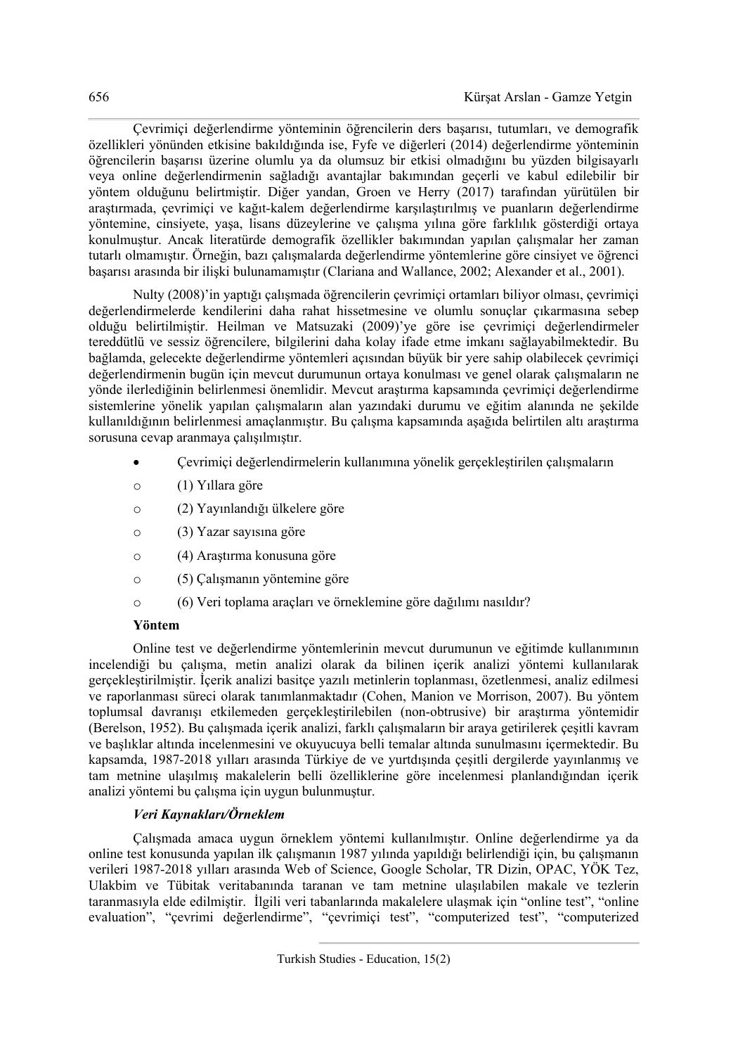Çevrimiçi değerlendirme yönteminin öğrencilerin ders başarısı, tutumları, ve demografik özellikleri yönünden etkisine bakıldığında ise, Fyfe ve diğerleri (2014) değerlendirme yönteminin öğrencilerin başarısı üzerine olumlu ya da olumsuz bir etkisi olmadığını bu yüzden bilgisayarlı veya online değerlendirmenin sağladığı avantajlar bakımından geçerli ve kabul edilebilir bir yöntem olduğunu belirtmiştir. Diğer yandan, Groen ve Herry (2017) tarafından yürütülen bir araştırmada, çevrimiçi ve kağıt-kalem değerlendirme karşılaştırılmış ve puanların değerlendirme yöntemine, cinsiyete, yaşa, lisans düzeylerine ve çalışma yılına göre farklılık gösterdiği ortaya konulmuştur. Ancak literatürde demografik özellikler bakımından yapılan çalışmalar her zaman tutarlı olmamıştır. Örneğin, bazı çalışmalarda değerlendirme yöntemlerine göre cinsiyet ve öğrenci başarısı arasında bir ilişki bulunamamıştır (Clariana and Wallance, 2002; Alexander et al., 2001).

Nulty (2008)'in yaptığı çalışmada öğrencilerin çevrimiçi ortamları biliyor olması, çevrimiçi değerlendirmelerde kendilerini daha rahat hissetmesine ve olumlu sonuçlar çıkarmasına sebep olduğu belirtilmiştir. Heilman ve Matsuzaki (2009)'ye göre ise çevrimiçi değerlendirmeler tereddütlü ve sessiz öğrencilere, bilgilerini daha kolay ifade etme imkanı sağlayabilmektedir. Bu bağlamda, gelecekte değerlendirme yöntemleri açısından büyük bir yere sahip olabilecek çevrimiçi değerlendirmenin bugün için mevcut durumunun ortaya konulması ve genel olarak çalışmaların ne yönde ilerlediğinin belirlenmesi önemlidir. Mevcut araştırma kapsamında çevrimiçi değerlendirme sistemlerine yönelik yapılan çalışmaların alan yazındaki durumu ve eğitim alanında ne şekilde kullanıldığının belirlenmesi amaçlanmıştır. Bu çalışma kapsamında aşağıda belirtilen altı araştırma sorusuna cevap aranmaya çalışılmıştır.

- Çevrimiçi değerlendirmelerin kullanımına yönelik gerçekleştirilen çalışmaların
- o (1) Yıllara göre
- o (2) Yayınlandığı ülkelere göre
- o (3) Yazar sayısına göre
- o (4) Araştırma konusuna göre
- o (5) Çalışmanın yöntemine göre
- o (6) Veri toplama araçları ve örneklemine göre dağılımı nasıldır?

# **Yöntem**

Online test ve değerlendirme yöntemlerinin mevcut durumunun ve eğitimde kullanımının incelendiği bu çalışma, metin analizi olarak da bilinen içerik analizi yöntemi kullanılarak gerçekleştirilmiştir. İçerik analizi basitçe yazılı metinlerin toplanması, özetlenmesi, analiz edilmesi ve raporlanması süreci olarak tanımlanmaktadır (Cohen, Manion ve Morrison, 2007). Bu yöntem toplumsal davranışı etkilemeden gerçekleştirilebilen (non-obtrusive) bir araştırma yöntemidir (Berelson, 1952). Bu çalışmada içerik analizi, farklı çalışmaların bir araya getirilerek çeşitli kavram ve başlıklar altında incelenmesini ve okuyucuya belli temalar altında sunulmasını içermektedir. Bu kapsamda, 1987-2018 yılları arasında Türkiye de ve yurtdışında çeşitli dergilerde yayınlanmış ve tam metnine ulaşılmış makalelerin belli özelliklerine göre incelenmesi planlandığından içerik analizi yöntemi bu çalışma için uygun bulunmuştur.

# *Veri Kaynakları/Örneklem*

Çalışmada amaca uygun örneklem yöntemi kullanılmıştır. Online değerlendirme ya da online test konusunda yapılan ilk çalışmanın 1987 yılında yapıldığı belirlendiği için, bu çalışmanın verileri 1987-2018 yılları arasında Web of Science, Google Scholar, TR Dizin, OPAC, YÖK Tez, Ulakbim ve Tübitak veritabanında taranan ve tam metnine ulaşılabilen makale ve tezlerin taranmasıyla elde edilmiştir. İlgili veri tabanlarında makalelere ulaşmak için "online test", "online evaluation", "çevrimi değerlendirme", "çevrimiçi test", "computerized test", "computerized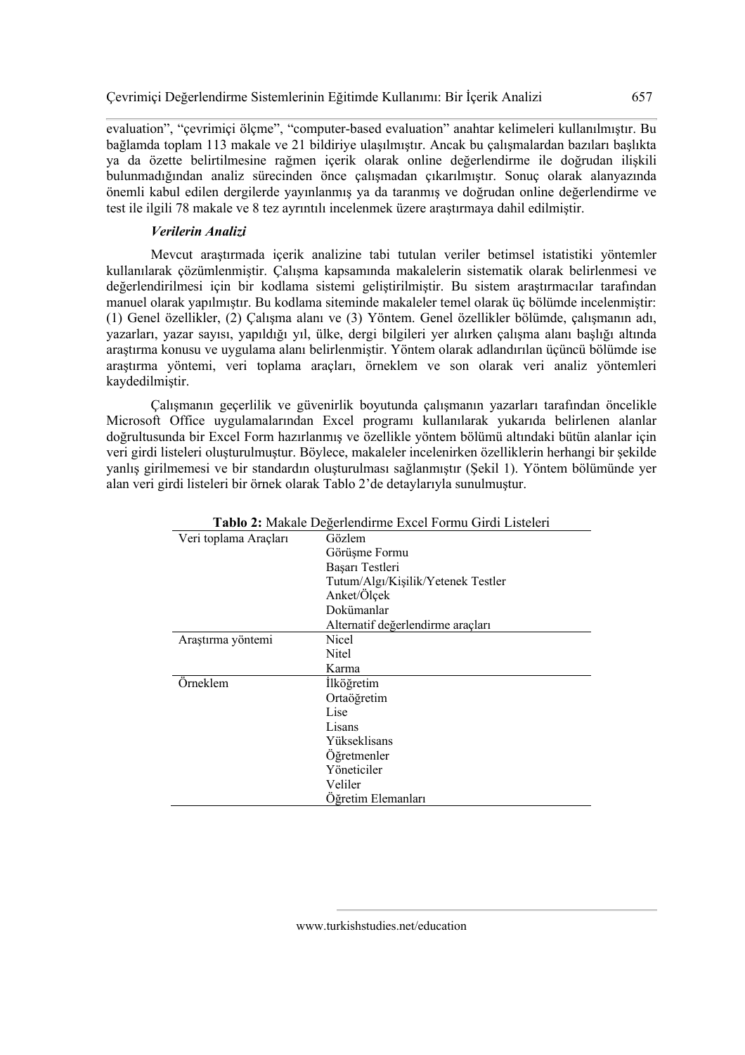evaluation", "çevrimiçi ölçme", "computer-based evaluation" anahtar kelimeleri kullanılmıştır. Bu bağlamda toplam 113 makale ve 21 bildiriye ulaşılmıştır. Ancak bu çalışmalardan bazıları başlıkta ya da özette belirtilmesine rağmen içerik olarak online değerlendirme ile doğrudan ilişkili bulunmadığından analiz sürecinden önce çalışmadan çıkarılmıştır. Sonuç olarak alanyazında önemli kabul edilen dergilerde yayınlanmış ya da taranmış ve doğrudan online değerlendirme ve test ile ilgili 78 makale ve 8 tez ayrıntılı incelenmek üzere araştırmaya dahil edilmiştir.

### *Verilerin Analizi*

Mevcut araştırmada içerik analizine tabi tutulan veriler betimsel istatistiki yöntemler kullanılarak çözümlenmiştir. Çalışma kapsamında makalelerin sistematik olarak belirlenmesi ve değerlendirilmesi için bir kodlama sistemi geliştirilmiştir. Bu sistem araştırmacılar tarafından manuel olarak yapılmıştır. Bu kodlama siteminde makaleler temel olarak üç bölümde incelenmiştir: (1) Genel özellikler, (2) Çalışma alanı ve (3) Yöntem. Genel özellikler bölümde, çalışmanın adı, yazarları, yazar sayısı, yapıldığı yıl, ülke, dergi bilgileri yer alırken çalışma alanı başlığı altında araştırma konusu ve uygulama alanı belirlenmiştir. Yöntem olarak adlandırılan üçüncü bölümde ise araştırma yöntemi, veri toplama araçları, örneklem ve son olarak veri analiz yöntemleri kaydedilmiştir.

Çalışmanın geçerlilik ve güvenirlik boyutunda çalışmanın yazarları tarafından öncelikle Microsoft Office uygulamalarından Excel programı kullanılarak yukarıda belirlenen alanlar doğrultusunda bir Excel Form hazırlanmış ve özellikle yöntem bölümü altındaki bütün alanlar için veri girdi listeleri oluşturulmuştur. Böylece, makaleler incelenirken özelliklerin herhangi bir şekilde yanlış girilmemesi ve bir standardın oluşturulması sağlanmıştır (Şekil 1). Yöntem bölümünde yer alan veri girdi listeleri bir örnek olarak Tablo 2'de detaylarıyla sunulmuştur.

|                       | <b>I ADIO 2.</b> IVIANAIC DUGUILIIUIIIIIIU EXUU FUIIIIU UIIUI EISIUIUII |  |
|-----------------------|-------------------------------------------------------------------------|--|
| Veri toplama Araçları | Gözlem                                                                  |  |
|                       | Görüşme Formu                                                           |  |
|                       | Başarı Testleri                                                         |  |
|                       | Tutum/Algı/Kişilik/Yetenek Testler                                      |  |
|                       | Anket/Ölçek                                                             |  |
|                       | Dokümanlar                                                              |  |
|                       | Alternatif değerlendirme araçları                                       |  |
| Araştırma yöntemi     | Nicel                                                                   |  |
|                       | Nitel                                                                   |  |
|                       | Karma                                                                   |  |
| Örneklem              | İlköğretim                                                              |  |
|                       | Ortaöğretim                                                             |  |
|                       | Lise                                                                    |  |
|                       | Lisans                                                                  |  |
|                       | Yükseklisans                                                            |  |
|                       | Öğretmenler                                                             |  |
|                       | Yöneticiler                                                             |  |
|                       | Veliler                                                                 |  |
|                       | Öğretim Elemanları                                                      |  |

**Tablo 2:** Makale Değerlendirme Excel Formu Girdi Listeleri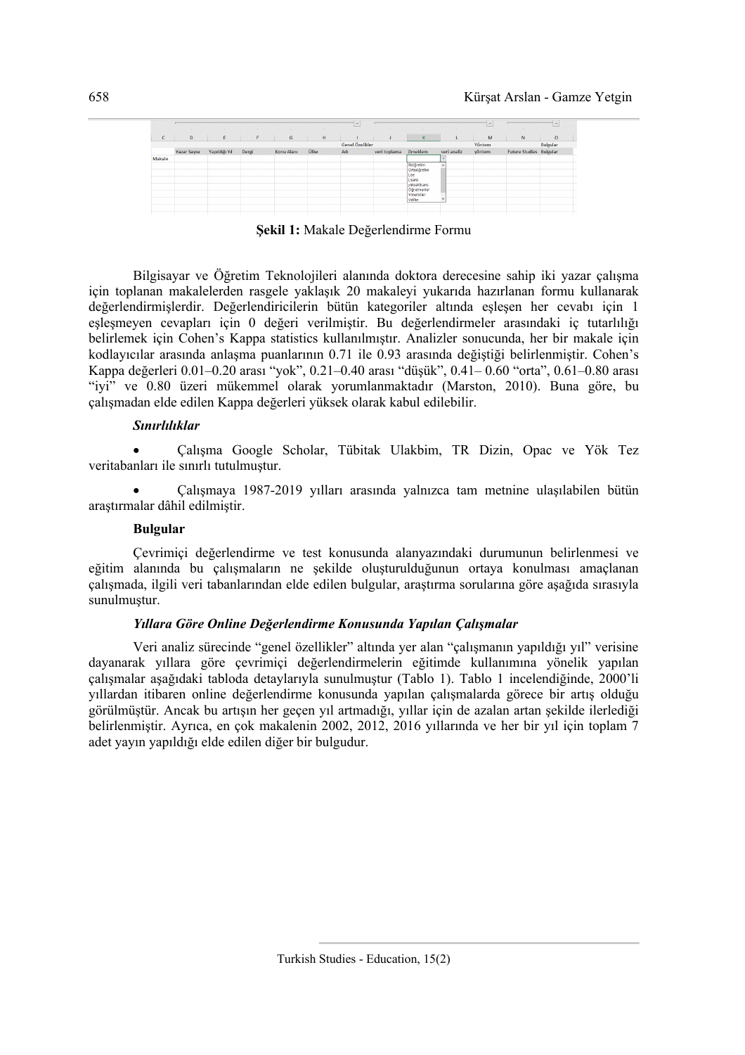|              | $\sim$              | $\sim$        |       |            |      | $\overline{\phantom{a}}$<br>-- |              |                                                                                                     | <b>COL</b>  | $\sim$<br><b>Links</b> |                                | -        |
|--------------|---------------------|---------------|-------|------------|------|--------------------------------|--------------|-----------------------------------------------------------------------------------------------------|-------------|------------------------|--------------------------------|----------|
| $\mathsf{C}$ | D                   | E             | F.    | G          | H    |                                |              | K.                                                                                                  |             | M                      | N                              | $\circ$  |
|              |                     |               |       |            |      | Genel Özelikler                |              |                                                                                                     |             | Yöntem                 |                                | Bulgular |
|              | <b>Yazar Sayısı</b> | Yapıldığı Yıl | Dergi | Konu Alanı | Ülke | Adı                            | veri toplama | örneklem                                                                                            | veri analiz | yöntem                 | <b>Future Studies Bulgular</b> |          |
| Makale       |                     |               |       |            |      |                                |              |                                                                                                     |             |                        |                                |          |
|              |                     |               |       |            |      |                                |              | iköğretim<br>Ortaöğretim<br>Lise<br>Lisans<br>yükseklisans<br>Öğretmenler<br>Yöneticiler<br>Veliler | $\lambda$   |                        |                                |          |
|              |                     |               |       |            |      |                                |              |                                                                                                     |             |                        |                                |          |

**Şekil 1:** Makale Değerlendirme Formu

Bilgisayar ve Öğretim Teknolojileri alanında doktora derecesine sahip iki yazar çalışma için toplanan makalelerden rasgele yaklaşık 20 makaleyi yukarıda hazırlanan formu kullanarak değerlendirmişlerdir. Değerlendiricilerin bütün kategoriler altında eşleşen her cevabı için 1 eşleşmeyen cevapları için 0 değeri verilmiştir. Bu değerlendirmeler arasındaki iç tutarlılığı belirlemek için Cohen's Kappa statistics kullanılmıştır. Analizler sonucunda, her bir makale için kodlayıcılar arasında anlaşma puanlarının 0.71 ile 0.93 arasında değiştiği belirlenmiştir. Cohen's Kappa değerleri 0.01–0.20 arası "yok", 0.21–0.40 arası "düşük", 0.41– 0.60 "orta", 0.61–0.80 arası "iyi" ve 0.80 üzeri mükemmel olarak yorumlanmaktadır (Marston, 2010). Buna göre, bu çalışmadan elde edilen Kappa değerleri yüksek olarak kabul edilebilir.

### *Sınırlılıklar*

• Çalışma Google Scholar, Tübitak Ulakbim, TR Dizin, Opac ve Yök Tez veritabanları ile sınırlı tutulmuştur.

• Çalışmaya 1987-2019 yılları arasında yalnızca tam metnine ulaşılabilen bütün araştırmalar dâhil edilmiştir.

# **Bulgular**

Çevrimiçi değerlendirme ve test konusunda alanyazındaki durumunun belirlenmesi ve eğitim alanında bu çalışmaların ne şekilde oluşturulduğunun ortaya konulması amaçlanan çalışmada, ilgili veri tabanlarından elde edilen bulgular, araştırma sorularına göre aşağıda sırasıyla sunulmuştur.

### *Yıllara Göre Online Değerlendirme Konusunda Yapılan Çalışmalar*

Veri analiz sürecinde "genel özellikler" altında yer alan "çalışmanın yapıldığı yıl" verisine dayanarak yıllara göre çevrimiçi değerlendirmelerin eğitimde kullanımına yönelik yapılan çalışmalar aşağıdaki tabloda detaylarıyla sunulmuştur (Tablo 1). Tablo 1 incelendiğinde, 2000'li yıllardan itibaren online değerlendirme konusunda yapılan çalışmalarda görece bir artış olduğu görülmüştür. Ancak bu artışın her geçen yıl artmadığı, yıllar için de azalan artan şekilde ilerlediği belirlenmiştir. Ayrıca, en çok makalenin 2002, 2012, 2016 yıllarında ve her bir yıl için toplam 7 adet yayın yapıldığı elde edilen diğer bir bulgudur.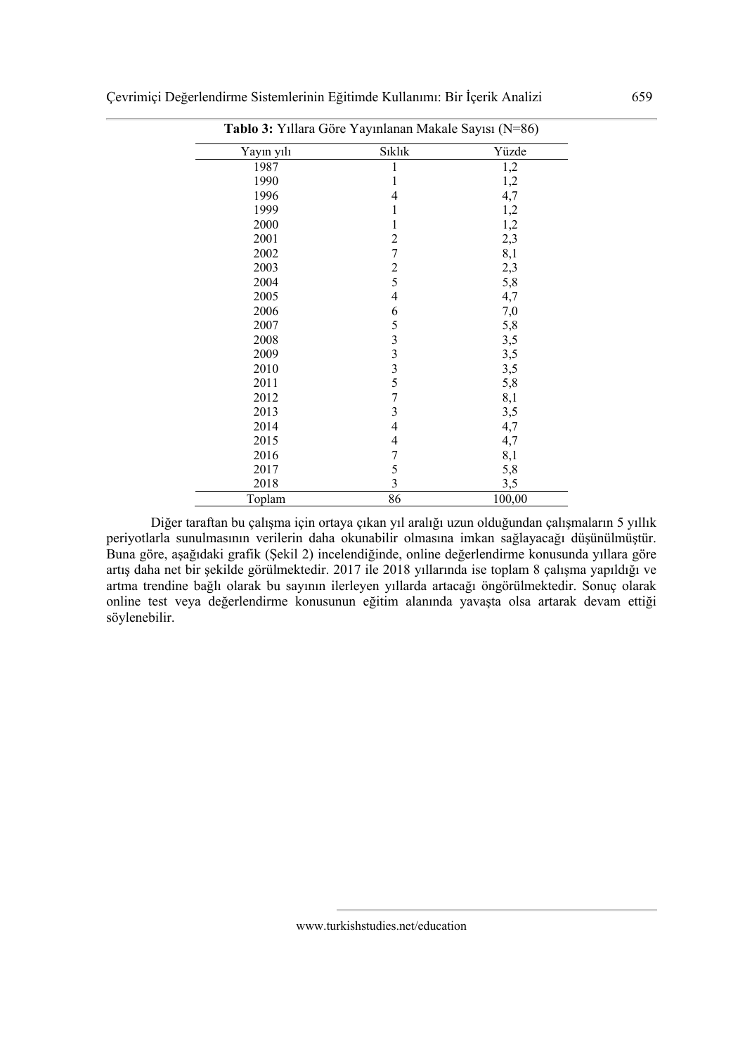| Yayın yılı | Sıklık                                          | Yüzde  |
|------------|-------------------------------------------------|--------|
| 1987       | 1                                               | 1,2    |
| 1990       | $\mathbf{1}$                                    | 1,2    |
| 1996       | $\overline{4}$                                  | 4,7    |
| 1999       | $\mathbf{1}$                                    | 1,2    |
| 2000       | $\mathbf{1}$                                    | 1,2    |
| 2001       | $\overline{c}$                                  | 2,3    |
| 2002       | $\overline{7}$                                  | 8,1    |
| 2003       | $rac{2}{5}$                                     | 2,3    |
| 2004       |                                                 | 5,8    |
| 2005       | $\overline{4}$                                  | 4,7    |
| 2006       | 6                                               | 7,0    |
| 2007       |                                                 | 5,8    |
| 2008       | $\frac{5}{3}$<br>$\frac{3}{3}$<br>$\frac{3}{5}$ | 3,5    |
| 2009       |                                                 | 3,5    |
| 2010       |                                                 | 3,5    |
| 2011       |                                                 | 5,8    |
| 2012       | $\overline{7}$                                  | 8,1    |
| 2013       | 3                                               | 3,5    |
| 2014       | $\overline{4}$                                  | 4,7    |
| 2015       | $\overline{4}$                                  | 4,7    |
| 2016       | $\boldsymbol{7}$                                | 8,1    |
| 2017       | 5                                               | 5,8    |
| 2018       | $\overline{3}$                                  | 3,5    |
| Toplam     | 86                                              | 100,00 |

**Tablo 3:** Yıllara Göre Yayınlanan Makale Sayısı (N=86)

Diğer taraftan bu çalışma için ortaya çıkan yıl aralığı uzun olduğundan çalışmaların 5 yıllık periyotlarla sunulmasının verilerin daha okunabilir olmasına imkan sağlayacağı düşünülmüştür. Buna göre, aşağıdaki grafik (Şekil 2) incelendiğinde, online değerlendirme konusunda yıllara göre artış daha net bir şekilde görülmektedir. 2017 ile 2018 yıllarında ise toplam 8 çalışma yapıldığı ve artma trendine bağlı olarak bu sayının ilerleyen yıllarda artacağı öngörülmektedir. Sonuç olarak online test veya değerlendirme konusunun eğitim alanında yavaşta olsa artarak devam ettiği söylenebilir.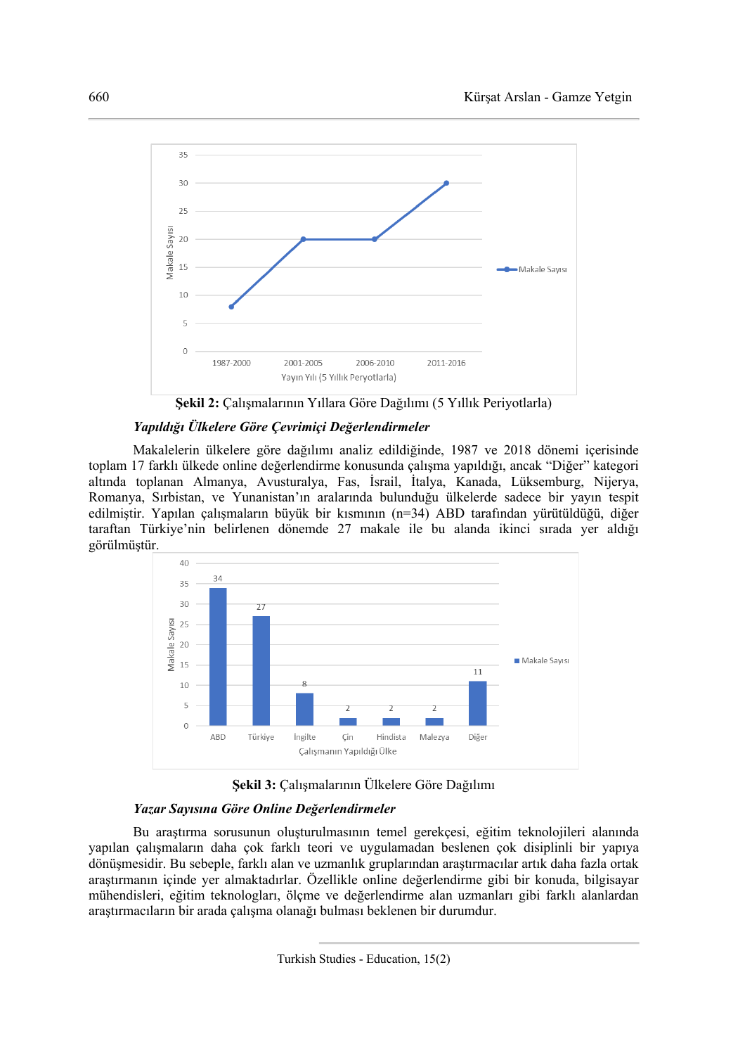

**Şekil 2:** Çalışmalarının Yıllara Göre Dağılımı (5 Yıllık Periyotlarla)

### *Yapıldığı Ülkelere Göre Çevrimiçi Değerlendirmeler*

Makalelerin ülkelere göre dağılımı analiz edildiğinde, 1987 ve 2018 dönemi içerisinde toplam 17 farklı ülkede online değerlendirme konusunda çalışma yapıldığı, ancak "Diğer" kategori altında toplanan Almanya, Avusturalya, Fas, İsrail, İtalya, Kanada, Lüksemburg, Nijerya, Romanya, Sırbistan, ve Yunanistan'ın aralarında bulunduğu ülkelerde sadece bir yayın tespit edilmiştir. Yapılan çalışmaların büyük bir kısmının (n=34) ABD tarafından yürütüldüğü, diğer taraftan Türkiye'nin belirlenen dönemde 27 makale ile bu alanda ikinci sırada yer aldığı görülmüştür.





# *Yazar Sayısına Göre Online Değerlendirmeler*

Bu araştırma sorusunun oluşturulmasının temel gerekçesi, eğitim teknolojileri alanında yapılan çalışmaların daha çok farklı teori ve uygulamadan beslenen çok disiplinli bir yapıya dönüşmesidir. Bu sebeple, farklı alan ve uzmanlık gruplarından araştırmacılar artık daha fazla ortak araştırmanın içinde yer almaktadırlar. Özellikle online değerlendirme gibi bir konuda, bilgisayar mühendisleri, eğitim teknologları, ölçme ve değerlendirme alan uzmanları gibi farklı alanlardan araştırmacıların bir arada çalışma olanağı bulması beklenen bir durumdur.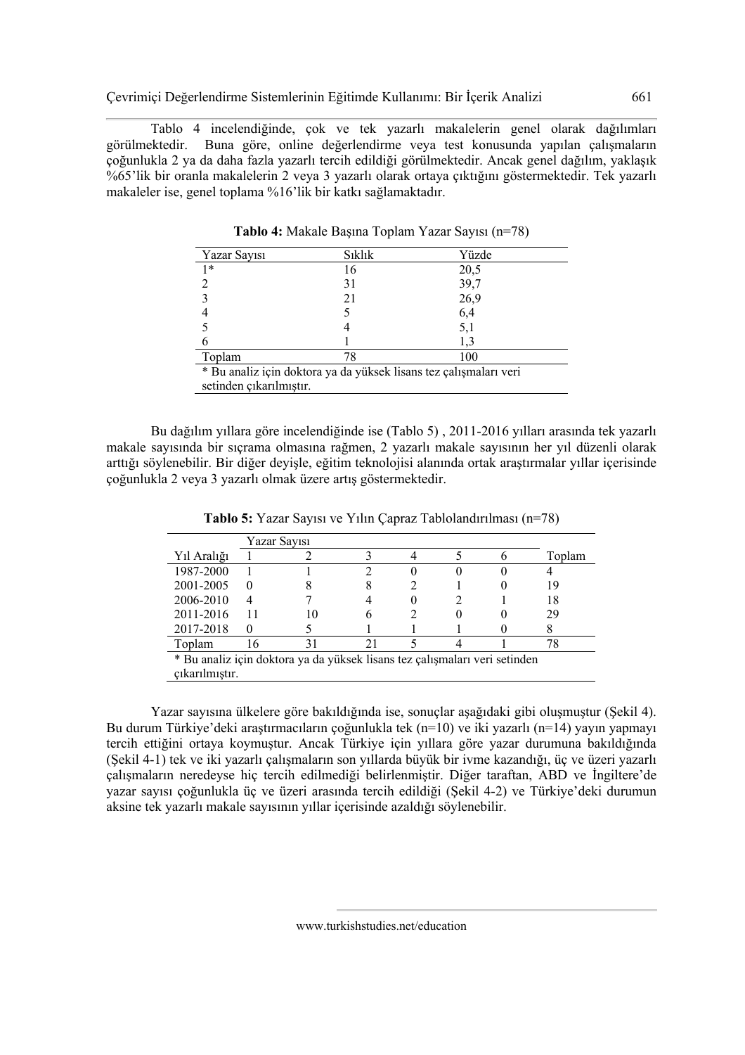Tablo 4 incelendiğinde, çok ve tek yazarlı makalelerin genel olarak dağılımları görülmektedir. Buna göre, online değerlendirme veya test konusunda yapılan çalışmaların çoğunlukla 2 ya da daha fazla yazarlı tercih edildiği görülmektedir. Ancak genel dağılım, yaklaşık %65'lik bir oranla makalelerin 2 veya 3 yazarlı olarak ortaya çıktığını göstermektedir. Tek yazarlı makaleler ise, genel toplama %16'lik bir katkı sağlamaktadır.

| Yazar Sayısı                                                      | <b>S</b> ıklık | Yüzde |  |  |
|-------------------------------------------------------------------|----------------|-------|--|--|
| $1*$                                                              | 16             | 20,5  |  |  |
|                                                                   | 31             | 39,7  |  |  |
|                                                                   | 21             | 26,9  |  |  |
|                                                                   |                | 6,4   |  |  |
|                                                                   |                | 5,1   |  |  |
|                                                                   |                | 1,3   |  |  |
| Toplam                                                            | 78             | 100   |  |  |
| * Bu analiz için doktora ya da yüksek lisans tez çalışmaları veri |                |       |  |  |
| setinden çıkarılmıştır.                                           |                |       |  |  |

**Tablo 4:** Makale Başına Toplam Yazar Sayısı (n=78)

Bu dağılım yıllara göre incelendiğinde ise (Tablo 5) , 2011-2016 yılları arasında tek yazarlı makale sayısında bir sıçrama olmasına rağmen, 2 yazarlı makale sayısının her yıl düzenli olarak arttığı söylenebilir. Bir diğer deyişle, eğitim teknolojisi alanında ortak araştırmalar yıllar içerisinde çoğunlukla 2 veya 3 yazarlı olmak üzere artış göstermektedir.

|                                                                            | Yazar Sayısı |  |  |        |
|----------------------------------------------------------------------------|--------------|--|--|--------|
| Yıl Aralığı                                                                |              |  |  | Toplam |
| 1987-2000                                                                  |              |  |  |        |
| 2001-2005                                                                  | $\theta$     |  |  | 19     |
| 2006-2010                                                                  |              |  |  | 18     |
| 2011-2016                                                                  |              |  |  | 29     |
| 2017-2018                                                                  | $\theta$     |  |  |        |
| Toplam                                                                     |              |  |  |        |
| * Bu analiz için doktora ya da yüksek lisans tez çalışmaları veri setinden |              |  |  |        |
| cikarilmistir.                                                             |              |  |  |        |

**Tablo 5:** Yazar Sayısı ve Yılın Çapraz Tablolandırılması (n=78)

Yazar sayısına ülkelere göre bakıldığında ise, sonuçlar aşağıdaki gibi oluşmuştur (Şekil 4). Bu durum Türkiye'deki araştırmacıların çoğunlukla tek (n=10) ve iki yazarlı (n=14) yayın yapmayı tercih ettiğini ortaya koymuştur. Ancak Türkiye için yıllara göre yazar durumuna bakıldığında (Şekil 4-1) tek ve iki yazarlı çalışmaların son yıllarda büyük bir ivme kazandığı, üç ve üzeri yazarlı çalışmaların neredeyse hiç tercih edilmediği belirlenmiştir. Diğer taraftan, ABD ve İngiltere'de yazar sayısı çoğunlukla üç ve üzeri arasında tercih edildiği (Şekil 4-2) ve Türkiye'deki durumun aksine tek yazarlı makale sayısının yıllar içerisinde azaldığı söylenebilir.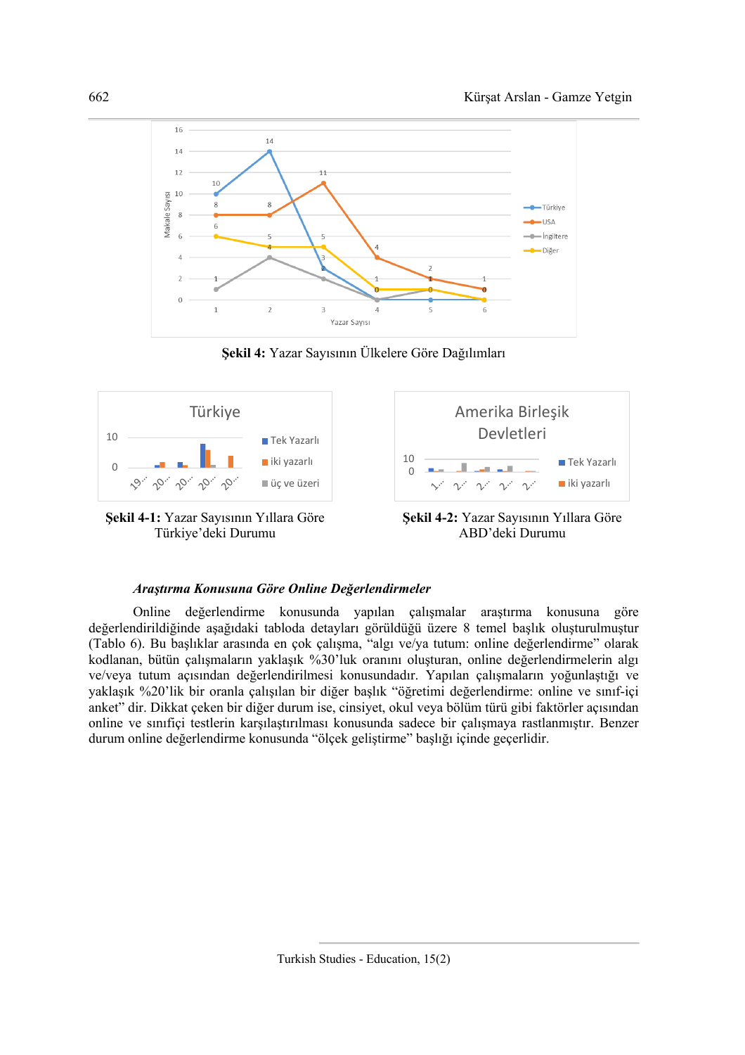

**Şekil 4:** Yazar Sayısının Ülkelere Göre Dağılımları



#### *Araştırma Konusuna Göre Online Değerlendirmeler*

Online değerlendirme konusunda yapılan çalışmalar araştırma konusuna göre değerlendirildiğinde aşağıdaki tabloda detayları görüldüğü üzere 8 temel başlık oluşturulmuştur (Tablo 6). Bu başlıklar arasında en çok çalışma, "algı ve/ya tutum: online değerlendirme" olarak kodlanan, bütün çalışmaların yaklaşık %30'luk oranını oluşturan, online değerlendirmelerin algı ve/veya tutum açısından değerlendirilmesi konusundadır. Yapılan çalışmaların yoğunlaştığı ve yaklaşık %20'lik bir oranla çalışılan bir diğer başlık "öğretimi değerlendirme: online ve sınıf-içi anket" dir. Dikkat çeken bir diğer durum ise, cinsiyet, okul veya bölüm türü gibi faktörler açısından online ve sınıfiçi testlerin karşılaştırılması konusunda sadece bir çalışmaya rastlanmıştır. Benzer durum online değerlendirme konusunda "ölçek geliştirme" başlığı içinde geçerlidir.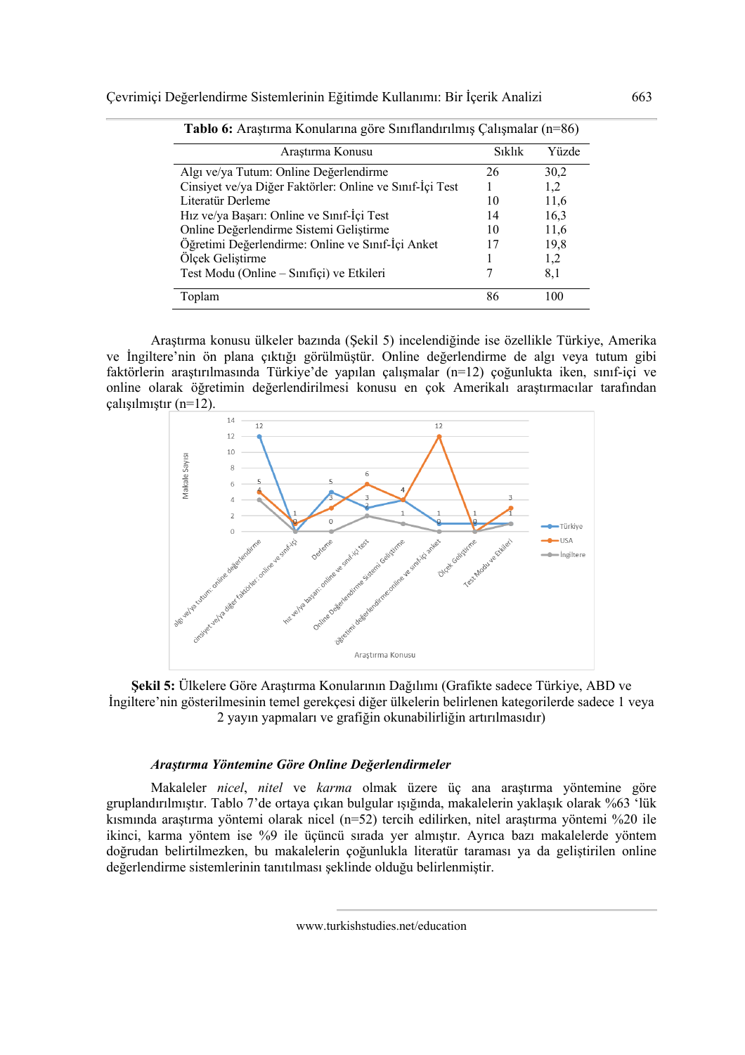| Araştırma Konusu                                         | Sıklık | Yüzde |
|----------------------------------------------------------|--------|-------|
| Algı ve/ya Tutum: Online Değerlendirme                   | 26     | 30,2  |
| Cinsiyet ve/ya Diğer Faktörler: Online ve Sınıf-İçi Test |        | 1,2   |
| Literatür Derleme                                        | 10     | 11,6  |
| Hız ve/ya Başarı: Online ve Sınıf-İçi Test               | 14     | 16,3  |
| Online Değerlendirme Sistemi Geliştirme                  | 10     | 11,6  |
| Öğretimi Değerlendirme: Online ve Sınıf-İçi Anket        |        | 19,8  |
| Ölçek Geliştirme                                         |        | 1,2   |
| Test Modu (Online – Sinifiçi) ve Etkileri                |        | 8,1   |
| Toplam                                                   | 86     | 100   |

**Tablo 6:** Araştırma Konularına göre Sınıflandırılmış Çalışmalar (n=86)

Araştırma konusu ülkeler bazında (Şekil 5) incelendiğinde ise özellikle Türkiye, Amerika ve İngiltere'nin ön plana çıktığı görülmüştür. Online değerlendirme de algı veya tutum gibi faktörlerin araştırılmasında Türkiye'de yapılan çalışmalar (n=12) çoğunlukta iken, sınıf-içi ve online olarak öğretimin değerlendirilmesi konusu en çok Amerikalı araştırmacılar tarafından çalışılmıştır (n=12).



**Şekil 5:** Ülkelere Göre Araştırma Konularının Dağılımı (Grafikte sadece Türkiye, ABD ve İngiltere'nin gösterilmesinin temel gerekçesi diğer ülkelerin belirlenen kategorilerde sadece 1 veya 2 yayın yapmaları ve grafiğin okunabilirliğin artırılmasıdır)

### *Araştırma Yöntemine Göre Online Değerlendirmeler*

Makaleler *nicel*, *nitel* ve *karma* olmak üzere üç ana araştırma yöntemine göre gruplandırılmıştır. Tablo 7'de ortaya çıkan bulgular ışığında, makalelerin yaklaşık olarak %63 'lük kısmında araştırma yöntemi olarak nicel (n=52) tercih edilirken, nitel araştırma yöntemi %20 ile ikinci, karma yöntem ise %9 ile üçüncü sırada yer almıştır. Ayrıca bazı makalelerde yöntem doğrudan belirtilmezken, bu makalelerin çoğunlukla literatür taraması ya da geliştirilen online değerlendirme sistemlerinin tanıtılması şeklinde olduğu belirlenmiştir.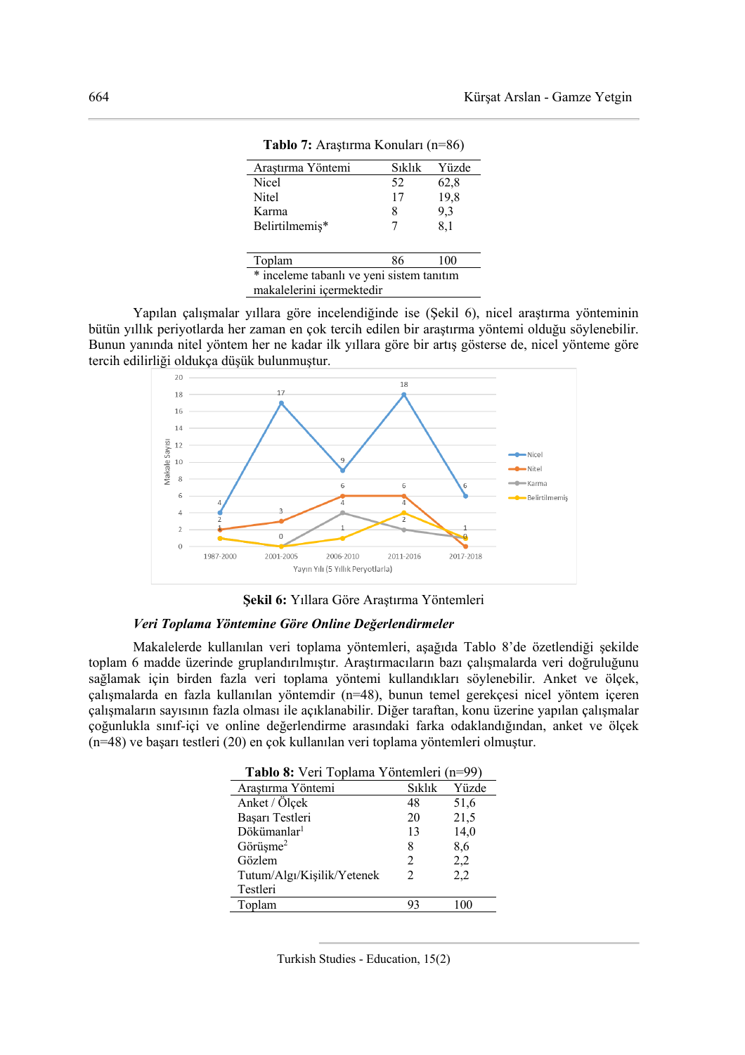| Arastırma Yöntemi                         | Sıklık | Yüzde |  |
|-------------------------------------------|--------|-------|--|
| <b>Nicel</b>                              | 52     | 62,8  |  |
| <b>Nitel</b>                              | 17     | 19,8  |  |
| Karma                                     | 8      | 9,3   |  |
| Belirtilmemiş*                            | 7      | 8,1   |  |
|                                           |        |       |  |
| Toplam                                    | 86     | 100   |  |
| * inceleme tabanlı ve yeni sistem tanıtım |        |       |  |
| makalelerini içermektedir                 |        |       |  |

**Tablo 7:** Araştırma Konuları (n=86)

Yapılan çalışmalar yıllara göre incelendiğinde ise (Şekil 6), nicel araştırma yönteminin bütün yıllık periyotlarda her zaman en çok tercih edilen bir araştırma yöntemi olduğu söylenebilir. Bunun yanında nitel yöntem her ne kadar ilk yıllara göre bir artış gösterse de, nicel yönteme göre tercih edilirliği oldukça düşük bulunmuştur.



**Şekil 6:** Yıllara Göre Araştırma Yöntemleri

### *Veri Toplama Yöntemine Göre Online Değerlendirmeler*

Makalelerde kullanılan veri toplama yöntemleri, aşağıda Tablo 8'de özetlendiği şekilde toplam 6 madde üzerinde gruplandırılmıştır. Araştırmacıların bazı çalışmalarda veri doğruluğunu sağlamak için birden fazla veri toplama yöntemi kullandıkları söylenebilir. Anket ve ölçek, çalışmalarda en fazla kullanılan yöntemdir (n=48), bunun temel gerekçesi nicel yöntem içeren çalışmaların sayısının fazla olması ile açıklanabilir. Diğer taraftan, konu üzerine yapılan çalışmalar çoğunlukla sınıf-içi ve online değerlendirme arasındaki farka odaklandığından, anket ve ölçek (n=48) ve başarı testleri (20) en çok kullanılan veri toplama yöntemleri olmuştur.

| <b>I apio 8:</b> Veri Topiama Yontemieri (n=99) |                |       |
|-------------------------------------------------|----------------|-------|
| Araştırma Yöntemi                               | Sıklık         | Yüzde |
| Anket / Ölçek                                   | 48             | 51,6  |
| Başarı Testleri                                 | 20             | 21,5  |
| Dökümanlar <sup>1</sup>                         | 13             | 14,0  |
| Görüşme <sup>2</sup>                            | 8              | 8,6   |
| Gözlem                                          | $\mathfrak{D}$ | 2,2   |
| Tutum/Algı/Kişilik/Yetenek                      | $\mathfrak{D}$ | 2,2   |
| Testleri                                        |                |       |
| Toplam                                          | 93             | 100   |

 $T = 11.0 \text{ N}$  Veri Toplama Youth (no)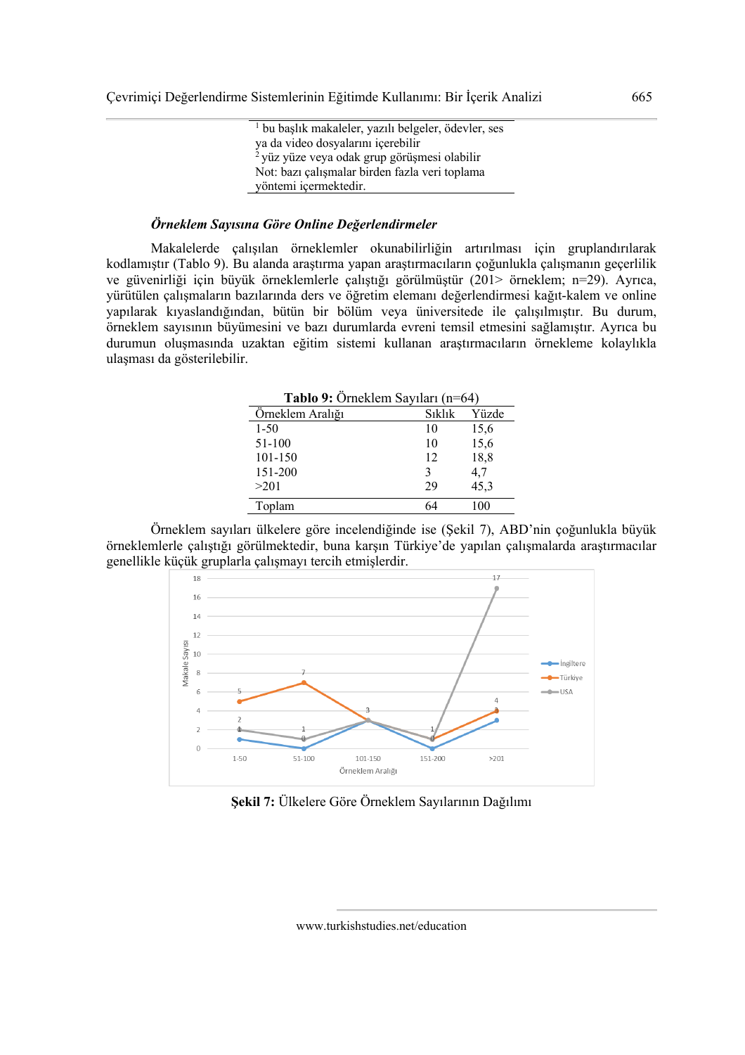| <sup>1</sup> bu başlık makaleler, yazılı belgeler, ödevler, ses |
|-----------------------------------------------------------------|
| ya da video dosyalarını içerebilir                              |
| <sup>2</sup> yüz yüze veya odak grup görüşmesi olabilir         |
| Not: bazı çalışmalar birden fazla veri toplama                  |
| yöntemi içermektedir.                                           |

#### *Örneklem Sayısına Göre Online Değerlendirmeler*

Makalelerde çalışılan örneklemler okunabilirliğin artırılması için gruplandırılarak kodlamıştır (Tablo 9). Bu alanda araştırma yapan araştırmacıların çoğunlukla çalışmanın geçerlilik ve güvenirliği için büyük örneklemlerle çalıştığı görülmüştür (201> örneklem; n=29). Ayrıca, yürütülen çalışmaların bazılarında ders ve öğretim elemanı değerlendirmesi kağıt-kalem ve online yapılarak kıyaslandığından, bütün bir bölüm veya üniversitede ile çalışılmıştır. Bu durum, örneklem sayısının büyümesini ve bazı durumlarda evreni temsil etmesini sağlamıştır. Ayrıca bu durumun oluşmasında uzaktan eğitim sistemi kullanan araştırmacıların örnekleme kolaylıkla ulaşması da gösterilebilir.

| Tablo 9: Örneklem Sayıları (n=64) |            |       |  |
|-----------------------------------|------------|-------|--|
| Örneklem Aralığı                  | $S_1k1_1k$ | Yüzde |  |
| $1 - 50$                          | 10         | 15,6  |  |
| 51-100                            | 10         | 15,6  |  |
| 101-150                           | 12         | 18,8  |  |
| 151-200                           | 3          | 4,7   |  |
| >201                              | 29         | 45,3  |  |
| Toplam                            |            |       |  |

Örneklem sayıları ülkelere göre incelendiğinde ise (Şekil 7), ABD'nin çoğunlukla büyük örneklemlerle çalıştığı görülmektedir, buna karşın Türkiye'de yapılan çalışmalarda araştırmacılar genellikle küçük gruplarla çalışmayı tercih etmişlerdir.



**Şekil 7:** Ülkelere Göre Örneklem Sayılarının Dağılımı

www.turkishstudies.net/education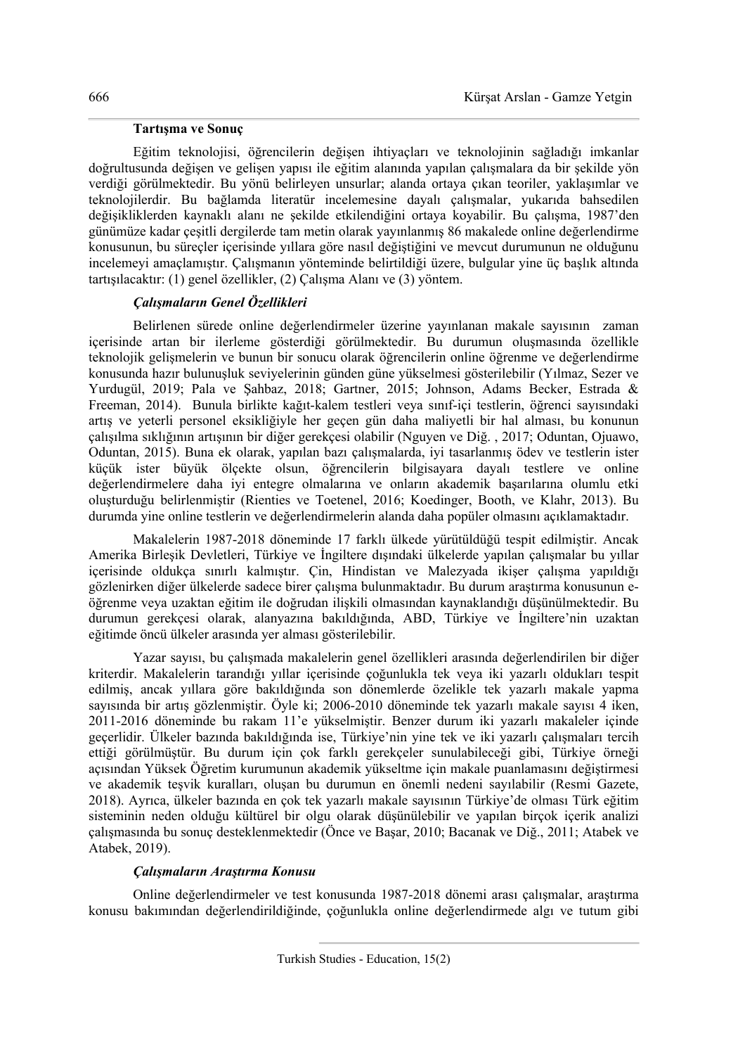### **Tartışma ve Sonuç**

Eğitim teknolojisi, öğrencilerin değişen ihtiyaçları ve teknolojinin sağladığı imkanlar doğrultusunda değişen ve gelişen yapısı ile eğitim alanında yapılan çalışmalara da bir şekilde yön verdiği görülmektedir. Bu yönü belirleyen unsurlar; alanda ortaya çıkan teoriler, yaklaşımlar ve teknolojilerdir. Bu bağlamda literatür incelemesine dayalı çalışmalar, yukarıda bahsedilen değişikliklerden kaynaklı alanı ne şekilde etkilendiğini ortaya koyabilir. Bu çalışma, 1987'den günümüze kadar çeşitli dergilerde tam metin olarak yayınlanmış 86 makalede online değerlendirme konusunun, bu süreçler içerisinde yıllara göre nasıl değiştiğini ve mevcut durumunun ne olduğunu incelemeyi amaçlamıştır. Çalışmanın yönteminde belirtildiği üzere, bulgular yine üç başlık altında tartışılacaktır: (1) genel özellikler, (2) Çalışma Alanı ve (3) yöntem.

# *Çalışmaların Genel Özellikleri*

Belirlenen sürede online değerlendirmeler üzerine yayınlanan makale sayısının zaman içerisinde artan bir ilerleme gösterdiği görülmektedir. Bu durumun oluşmasında özellikle teknolojik gelişmelerin ve bunun bir sonucu olarak öğrencilerin online öğrenme ve değerlendirme konusunda hazır bulunuşluk seviyelerinin günden güne yükselmesi gösterilebilir (Yılmaz, Sezer ve Yurdugül, 2019; Pala ve Şahbaz, 2018; Gartner, 2015; Johnson, Adams Becker, Estrada & Freeman, 2014). Bunula birlikte kağıt-kalem testleri veya sınıf-içi testlerin, öğrenci sayısındaki artış ve yeterli personel eksikliğiyle her geçen gün daha maliyetli bir hal alması, bu konunun çalışılma sıklığının artışının bir diğer gerekçesi olabilir (Nguyen ve Diğ. , 2017; Oduntan, Ojuawo, Oduntan, 2015). Buna ek olarak, yapılan bazı çalışmalarda, iyi tasarlanmış ödev ve testlerin ister küçük ister büyük ölçekte olsun, öğrencilerin bilgisayara dayalı testlere ve online değerlendirmelere daha iyi entegre olmalarına ve onların akademik başarılarına olumlu etki oluşturduğu belirlenmiştir (Rienties ve Toetenel, 2016; Koedinger, Booth, ve Klahr, 2013). Bu durumda yine online testlerin ve değerlendirmelerin alanda daha popüler olmasını açıklamaktadır.

Makalelerin 1987-2018 döneminde 17 farklı ülkede yürütüldüğü tespit edilmiştir. Ancak Amerika Birleşik Devletleri, Türkiye ve İngiltere dışındaki ülkelerde yapılan çalışmalar bu yıllar içerisinde oldukça sınırlı kalmıştır. Çin, Hindistan ve Malezyada ikişer çalışma yapıldığı gözlenirken diğer ülkelerde sadece birer çalışma bulunmaktadır. Bu durum araştırma konusunun eöğrenme veya uzaktan eğitim ile doğrudan ilişkili olmasından kaynaklandığı düşünülmektedir. Bu durumun gerekçesi olarak, alanyazına bakıldığında, ABD, Türkiye ve İngiltere'nin uzaktan eğitimde öncü ülkeler arasında yer alması gösterilebilir.

Yazar sayısı, bu çalışmada makalelerin genel özellikleri arasında değerlendirilen bir diğer kriterdir. Makalelerin tarandığı yıllar içerisinde çoğunlukla tek veya iki yazarlı oldukları tespit edilmiş, ancak yıllara göre bakıldığında son dönemlerde özelikle tek yazarlı makale yapma sayısında bir artış gözlenmiştir. Öyle ki; 2006-2010 döneminde tek yazarlı makale sayısı 4 iken, 2011-2016 döneminde bu rakam 11'e yükselmiştir. Benzer durum iki yazarlı makaleler içinde geçerlidir. Ülkeler bazında bakıldığında ise, Türkiye'nin yine tek ve iki yazarlı çalışmaları tercih ettiği görülmüştür. Bu durum için çok farklı gerekçeler sunulabileceği gibi, Türkiye örneği açısından Yüksek Öğretim kurumunun akademik yükseltme için makale puanlamasını değiştirmesi ve akademik teşvik kuralları, oluşan bu durumun en önemli nedeni sayılabilir (Resmi Gazete, 2018). Ayrıca, ülkeler bazında en çok tek yazarlı makale sayısının Türkiye'de olması Türk eğitim sisteminin neden olduğu kültürel bir olgu olarak düşünülebilir ve yapılan birçok içerik analizi çalışmasında bu sonuç desteklenmektedir (Önce ve Başar, 2010; Bacanak ve Diğ., 2011; Atabek ve Atabek, 2019).

# *Çalışmaların Araştırma Konusu*

Online değerlendirmeler ve test konusunda 1987-2018 dönemi arası çalışmalar, araştırma konusu bakımından değerlendirildiğinde, çoğunlukla online değerlendirmede algı ve tutum gibi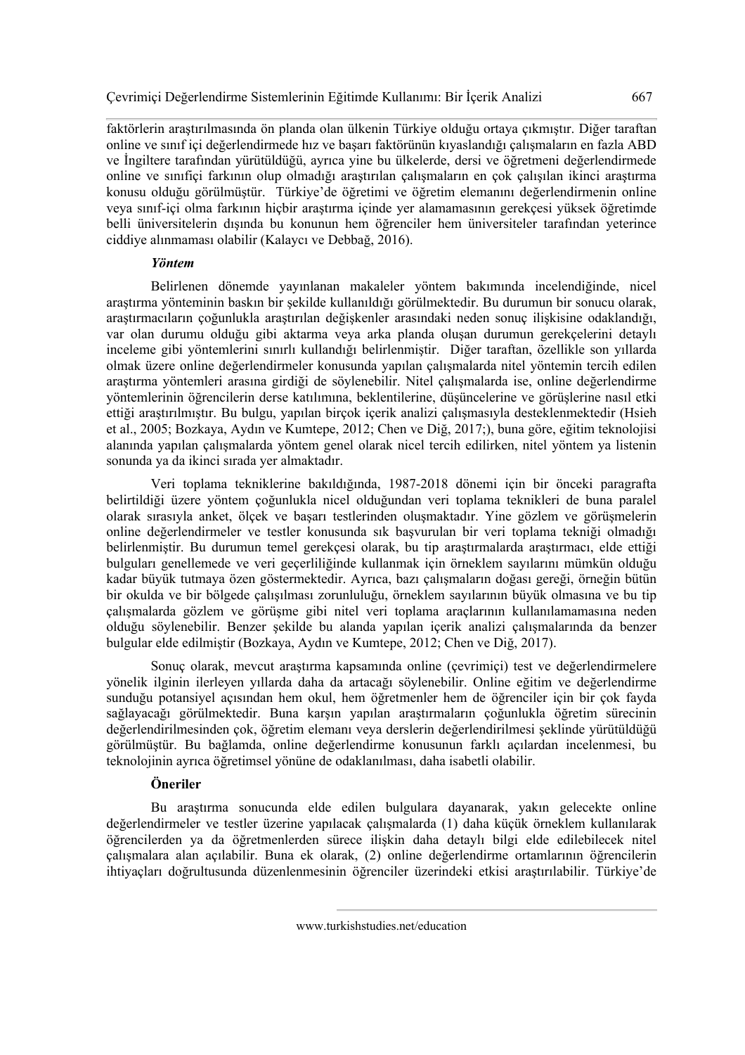faktörlerin araştırılmasında ön planda olan ülkenin Türkiye olduğu ortaya çıkmıştır. Diğer taraftan online ve sınıf içi değerlendirmede hız ve başarı faktörünün kıyaslandığı çalışmaların en fazla ABD ve İngiltere tarafından yürütüldüğü, ayrıca yine bu ülkelerde, dersi ve öğretmeni değerlendirmede online ve sınıfiçi farkının olup olmadığı araştırılan çalışmaların en çok çalışılan ikinci araştırma konusu olduğu görülmüştür. Türkiye'de öğretimi ve öğretim elemanını değerlendirmenin online veya sınıf-içi olma farkının hiçbir araştırma içinde yer alamamasının gerekçesi yüksek öğretimde belli üniversitelerin dışında bu konunun hem öğrenciler hem üniversiteler tarafından yeterince ciddiye alınmaması olabilir (Kalaycı ve Debbağ, 2016).

### *Yöntem*

Belirlenen dönemde yayınlanan makaleler yöntem bakımında incelendiğinde, nicel araştırma yönteminin baskın bir şekilde kullanıldığı görülmektedir. Bu durumun bir sonucu olarak, araştırmacıların çoğunlukla araştırılan değişkenler arasındaki neden sonuç ilişkisine odaklandığı, var olan durumu olduğu gibi aktarma veya arka planda oluşan durumun gerekçelerini detaylı inceleme gibi yöntemlerini sınırlı kullandığı belirlenmiştir. Diğer taraftan, özellikle son yıllarda olmak üzere online değerlendirmeler konusunda yapılan çalışmalarda nitel yöntemin tercih edilen araştırma yöntemleri arasına girdiği de söylenebilir. Nitel çalışmalarda ise, online değerlendirme yöntemlerinin öğrencilerin derse katılımına, beklentilerine, düşüncelerine ve görüşlerine nasıl etki ettiği araştırılmıştır. Bu bulgu, yapılan birçok içerik analizi çalışmasıyla desteklenmektedir (Hsieh et al., 2005; Bozkaya, Aydın ve Kumtepe, 2012; Chen ve Diğ, 2017;), buna göre, eğitim teknolojisi alanında yapılan çalışmalarda yöntem genel olarak nicel tercih edilirken, nitel yöntem ya listenin sonunda ya da ikinci sırada yer almaktadır.

Veri toplama tekniklerine bakıldığında, 1987-2018 dönemi için bir önceki paragrafta belirtildiği üzere yöntem çoğunlukla nicel olduğundan veri toplama teknikleri de buna paralel olarak sırasıyla anket, ölçek ve başarı testlerinden oluşmaktadır. Yine gözlem ve görüşmelerin online değerlendirmeler ve testler konusunda sık başvurulan bir veri toplama tekniği olmadığı belirlenmiştir. Bu durumun temel gerekçesi olarak, bu tip araştırmalarda araştırmacı, elde ettiği bulguları genellemede ve veri geçerliliğinde kullanmak için örneklem sayılarını mümkün olduğu kadar büyük tutmaya özen göstermektedir. Ayrıca, bazı çalışmaların doğası gereği, örneğin bütün bir okulda ve bir bölgede çalışılması zorunluluğu, örneklem sayılarının büyük olmasına ve bu tip çalışmalarda gözlem ve görüşme gibi nitel veri toplama araçlarının kullanılamamasına neden olduğu söylenebilir. Benzer şekilde bu alanda yapılan içerik analizi çalışmalarında da benzer bulgular elde edilmiştir (Bozkaya, Aydın ve Kumtepe, 2012; Chen ve Diğ, 2017).

Sonuç olarak, mevcut araştırma kapsamında online (çevrimiçi) test ve değerlendirmelere yönelik ilginin ilerleyen yıllarda daha da artacağı söylenebilir. Online eğitim ve değerlendirme sunduğu potansiyel açısından hem okul, hem öğretmenler hem de öğrenciler için bir çok fayda sağlayacağı görülmektedir. Buna karşın yapılan araştırmaların çoğunlukla öğretim sürecinin değerlendirilmesinden çok, öğretim elemanı veya derslerin değerlendirilmesi şeklinde yürütüldüğü görülmüştür. Bu bağlamda, online değerlendirme konusunun farklı açılardan incelenmesi, bu teknolojinin ayrıca öğretimsel yönüne de odaklanılması, daha isabetli olabilir.

# **Öneriler**

Bu araştırma sonucunda elde edilen bulgulara dayanarak, yakın gelecekte online değerlendirmeler ve testler üzerine yapılacak çalışmalarda (1) daha küçük örneklem kullanılarak öğrencilerden ya da öğretmenlerden sürece ilişkin daha detaylı bilgi elde edilebilecek nitel çalışmalara alan açılabilir. Buna ek olarak, (2) online değerlendirme ortamlarının öğrencilerin ihtiyaçları doğrultusunda düzenlenmesinin öğrenciler üzerindeki etkisi araştırılabilir. Türkiye'de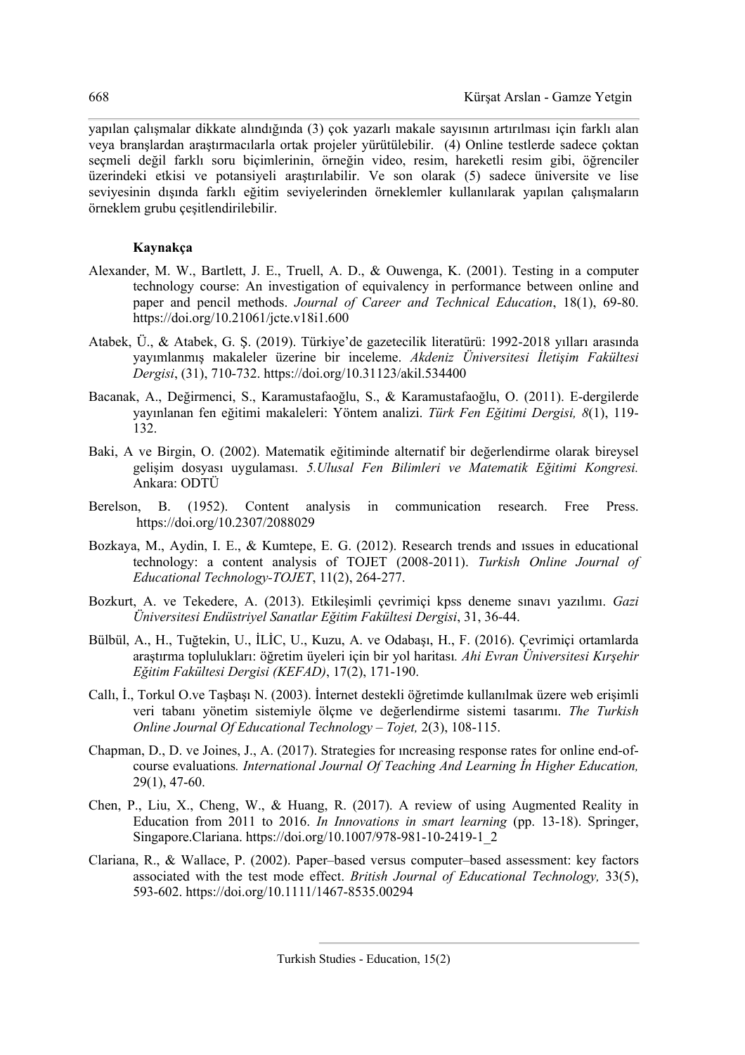yapılan çalışmalar dikkate alındığında (3) çok yazarlı makale sayısının artırılması için farklı alan veya branşlardan araştırmacılarla ortak projeler yürütülebilir. (4) Online testlerde sadece çoktan seçmeli değil farklı soru biçimlerinin, örneğin video, resim, hareketli resim gibi, öğrenciler üzerindeki etkisi ve potansiyeli araştırılabilir. Ve son olarak (5) sadece üniversite ve lise seviyesinin dışında farklı eğitim seviyelerinden örneklemler kullanılarak yapılan çalışmaların örneklem grubu çeşitlendirilebilir.

# **Kaynakça**

- Alexander, M. W., Bartlett, J. E., Truell, A. D., & Ouwenga, K. (2001). Testing in a computer technology course: An investigation of equivalency in performance between online and paper and pencil methods. *Journal of Career and Technical Education*, 18(1), 69-80. https://doi.org/10.21061/jcte.v18i1.600
- Atabek, Ü., & Atabek, G. Ş. (2019). Türkiye'de gazetecilik literatürü: 1992-2018 yılları arasında yayımlanmış makaleler üzerine bir inceleme. *Akdeniz Üniversitesi İletişim Fakültesi Dergisi*, (31), 710-732. https://doi.org/10.31123/akil.534400
- Bacanak, A., Değirmenci, S., Karamustafaoğlu, S., & Karamustafaoğlu, O. (2011). E-dergilerde yayınlanan fen eğitimi makaleleri: Yöntem analizi. *Türk Fen Eğitimi Dergisi, 8*(1), 119- 132.
- Baki, A ve Birgin, O. (2002). Matematik eğitiminde alternatif bir değerlendirme olarak bireysel gelişim dosyası uygulaması. *5.Ulusal Fen Bilimleri ve Matematik Eğitimi Kongresi.* Ankara: ODTÜ
- Berelson, B. (1952). Content analysis in communication research. Free Press. https://doi.org/10.2307/2088029
- Bozkaya, M., Aydin, I. E., & Kumtepe, E. G. (2012). Research trends and ıssues in educational technology: a content analysis of TOJET (2008-2011). *Turkish Online Journal of Educational Technology-TOJET*, 11(2), 264-277.
- Bozkurt, A. ve Tekedere, A. (2013). Etkileşimli çevrimiçi kpss deneme sınavı yazılımı. *Gazi Üniversitesi Endüstriyel Sanatlar Eğitim Fakültesi Dergisi*, 31, 36-44.
- Bülbül, A., H., Tuğtekin, U., İLİC, U., Kuzu, A. ve Odabaşı, H., F. (2016). Çevrimiçi ortamlarda araştırma toplulukları: öğretim üyeleri için bir yol haritası*. Ahi Evran Üniversitesi Kırşehir Eğitim Fakültesi Dergisi (KEFAD)*, 17(2), 171-190.
- Callı, İ., Torkul O.ve Taşbaşı N. (2003). İnternet destekli öğretimde kullanılmak üzere web erişimli veri tabanı yönetim sistemiyle ölçme ve değerlendirme sistemi tasarımı. *The Turkish Online Journal Of Educational Technology – Tojet,* 2(3), 108-115.
- Chapman, D., D. ve Joines, J., A. (2017). Strategies for ıncreasing response rates for online end-ofcourse evaluations*. International Journal Of Teaching And Learning İn Higher Education,*  29(1), 47-60.
- Chen, P., Liu, X., Cheng, W., & Huang, R. (2017). A review of using Augmented Reality in Education from 2011 to 2016. *In Innovations in smart learning* (pp. 13-18). Springer, Singapore.Clariana. https://doi.org/10.1007/978-981-10-2419-1\_2
- Clariana, R., & Wallace, P. (2002). Paper–based versus computer–based assessment: key factors associated with the test mode effect. *British Journal of Educational Technology,* 33(5), 593-602. https://doi.org/10.1111/1467-8535.00294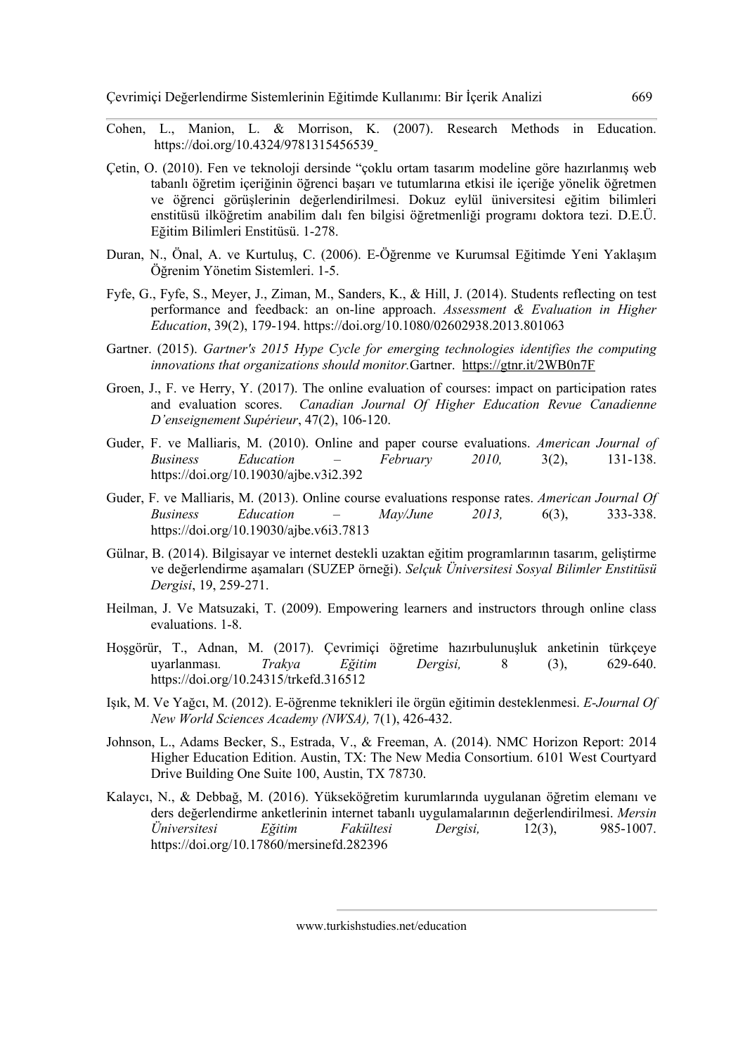Çevrimiçi Değerlendirme Sistemlerinin Eğitimde Kullanımı: Bir İçerik Analizi 669

- Cohen, L., Manion, L. & Morrison, K. (2007). Research Methods in Education. https://doi.org/10.4324/9781315456539
- Çetin, O. (2010). Fen ve teknoloji dersinde "çoklu ortam tasarım modeline göre hazırlanmış web tabanlı öğretim içeriğinin öğrenci başarı ve tutumlarına etkisi ile içeriğe yönelik öğretmen ve öğrenci görüşlerinin değerlendirilmesi. Dokuz eylül üniversitesi eğitim bilimleri enstitüsü ilköğretim anabilim dalı fen bilgisi öğretmenliği programı doktora tezi. D.E.Ü. Eğitim Bilimleri Enstitüsü. 1-278.
- Duran, N., Önal, A. ve Kurtuluş, C. (2006). E-Öğrenme ve Kurumsal Eğitimde Yeni Yaklaşım Öğrenim Yönetim Sistemleri. 1-5.
- Fyfe, G., Fyfe, S., Meyer, J., Ziman, M., Sanders, K., & Hill, J. (2014). Students reflecting on test performance and feedback: an on-line approach. *Assessment & Evaluation in Higher Education*, 39(2), 179-194. https://doi.org/10.1080/02602938.2013.801063
- Gartner. (2015). *Gartner's 2015 Hype Cycle for emerging technologies identifies the computing innovations that organizations should monitor.*Gartner. https://gtnr.it/2WB0n7F
- Groen, J., F. ve Herry, Y. (2017). The online evaluation of courses: impact on participation rates and evaluation scores. *Canadian Journal Of Higher Education Revue Canadienne D'enseignement Supérieur*, 47(2), 106-120.
- Guder, F. ve Malliaris, M. (2010). Online and paper course evaluations. *American Journal of Business Education – February 2010,* 3(2), 131-138. https://doi.org/10.19030/ajbe.v3i2.392
- Guder, F. ve Malliaris, M. (2013). Online course evaluations response rates. *American Journal Of Business Education – May/June 2013,* 6(3), 333-338. https://doi.org/10.19030/ajbe.v6i3.7813
- Gülnar, B. (2014). Bilgisayar ve internet destekli uzaktan eğitim programlarının tasarım, geliştirme ve değerlendirme aşamaları (SUZEP örneği). *Selçuk Üniversitesi Sosyal Bilimler Enstitüsü Dergisi*, 19, 259-271.
- Heilman, J. Ve Matsuzaki, T. (2009). Empowering learners and instructors through online class evaluations. 1-8.
- Hoşgörür, T., Adnan, M. (2017). Çevrimiçi öğretime hazırbulunuşluk anketinin türkçeye uyarlanması*. Trakya Eğitim Dergisi,* 8 (3), 629-640. https://doi.org/10.24315/trkefd.316512
- Işık, M. Ve Yağcı, M. (2012). E-öğrenme teknikleri ile örgün eğitimin desteklenmesi. *E-Journal Of New World Sciences Academy (NWSA),* 7(1), 426-432.
- Johnson, L., Adams Becker, S., Estrada, V., & Freeman, A. (2014). NMC Horizon Report: 2014 Higher Education Edition. Austin, TX: The New Media Consortium. 6101 West Courtyard Drive Building One Suite 100, Austin, TX 78730.
- Kalaycı, N., & Debbağ, M. (2016). Yükseköğretim kurumlarında uygulanan öğretim elemanı ve ders değerlendirme anketlerinin internet tabanlı uygulamalarının değerlendirilmesi. *Mersin Üniversitesi Eğitim Fakültesi Dergisi,* 12(3), 985-1007. https://doi.org/10.17860/mersinefd.282396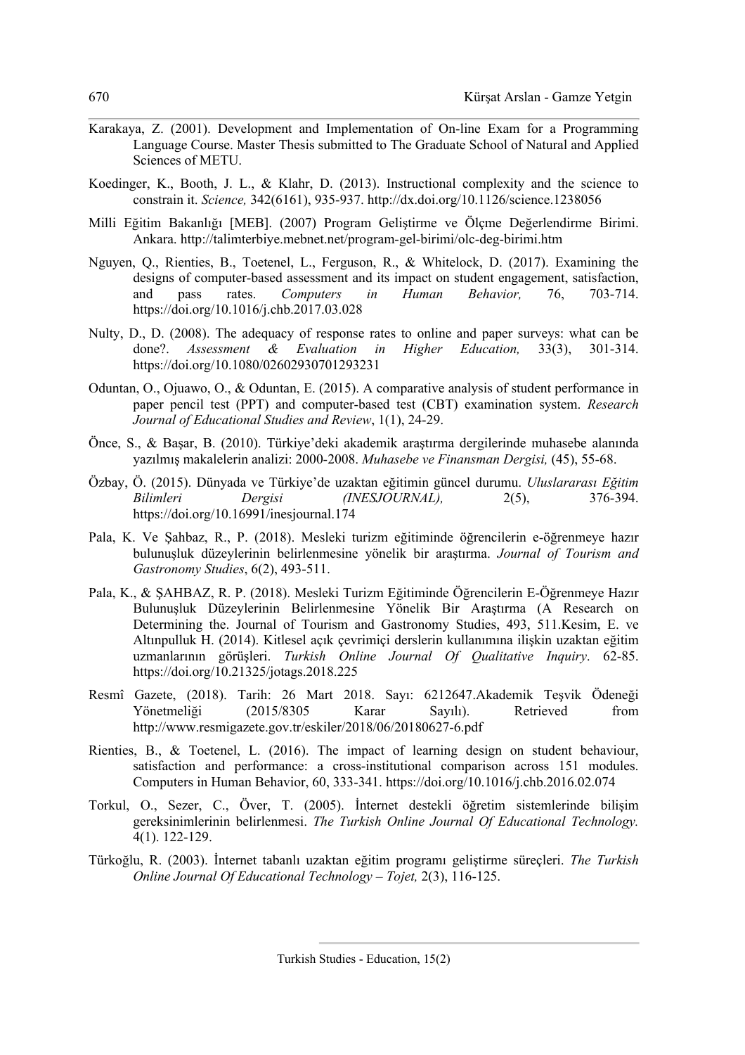- Karakaya, Z. (2001). Development and Implementation of On-line Exam for a Programming Language Course. Master Thesis submitted to The Graduate School of Natural and Applied Sciences of METU.
- Koedinger, K., Booth, J. L., & Klahr, D. (2013). Instructional complexity and the science to constrain it. *Science,* 342(6161), 935-937. http://dx.doi.org/10.1126/science.1238056
- Milli Eğitim Bakanlığı [MEB]. (2007) Program Geliştirme ve Ölçme Değerlendirme Birimi. Ankara. http://talimterbiye.mebnet.net/program-gel-birimi/olc-deg-birimi.htm
- Nguyen, Q., Rienties, B., Toetenel, L., Ferguson, R., & Whitelock, D. (2017). Examining the designs of computer-based assessment and its impact on student engagement, satisfaction, and pass rates. *Computers in Human Behavior,* 76, 703-714. https://doi.org/10.1016/j.chb.2017.03.028
- Nulty, D., D. (2008). The adequacy of response rates to online and paper surveys: what can be done?. *Assessment & Evaluation in Higher Education,* 33(3), 301-314. https://doi.org/10.1080/02602930701293231
- Oduntan, O., Ojuawo, O., & Oduntan, E. (2015). A comparative analysis of student performance in paper pencil test (PPT) and computer-based test (CBT) examination system. *Research Journal of Educational Studies and Review*, 1(1), 24-29.
- Önce, S., & Başar, B. (2010). Türkiye'deki akademik araştırma dergilerinde muhasebe alanında yazılmış makalelerin analizi: 2000-2008. *Muhasebe ve Finansman Dergisi,* (45), 55-68.
- Özbay, Ö. (2015). Dünyada ve Türkiye'de uzaktan eğitimin güncel durumu. *Uluslararası Eğitim Bilimleri Dergisi (INESJOURNAL),* 2(5), 376-394. https://doi.org/10.16991/inesjournal.174
- Pala, K. Ve Şahbaz, R., P. (2018). Mesleki turizm eğitiminde öğrencilerin e-öğrenmeye hazır bulunuşluk düzeylerinin belirlenmesine yönelik bir araştırma. *Journal of Tourism and Gastronomy Studies*, 6(2), 493-511.
- Pala, K., & ŞAHBAZ, R. P. (2018). Mesleki Turizm Eğitiminde Öğrencilerin E-Öğrenmeye Hazır Bulunuşluk Düzeylerinin Belirlenmesine Yönelik Bir Araştırma (A Research on Determining the. Journal of Tourism and Gastronomy Studies, 493, 511.Kesim, E. ve Altınpulluk H. (2014). Kitlesel açık çevrimiçi derslerin kullanımına ilişkin uzaktan eğitim uzmanlarının görüşleri. *Turkish Online Journal Of Qualitative Inquiry*. 62-85. https://doi.org/10.21325/jotags.2018.225
- Resmî Gazete, (2018). Tarih: 26 Mart 2018. Sayı: 6212647.Akademik Teşvik Ödeneği Yönetmeliği (2015/8305 Karar Sayılı). Retrieved from http://www.resmigazete.gov.tr/eskiler/2018/06/20180627-6.pdf
- Rienties, B., & Toetenel, L. (2016). The impact of learning design on student behaviour, satisfaction and performance: a cross-institutional comparison across 151 modules. Computers in Human Behavior, 60, 333-341. https://doi.org/10.1016/j.chb.2016.02.074
- Torkul, O., Sezer, C., Över, T. (2005). İnternet destekli öğretim sistemlerinde bilişim gereksinimlerinin belirlenmesi. *The Turkish Online Journal Of Educational Technology.*  4(1). 122-129.
- Türkoğlu, R. (2003). İnternet tabanlı uzaktan eğitim programı geliştirme süreçleri. *The Turkish Online Journal Of Educational Technology – Tojet,* 2(3), 116-125.